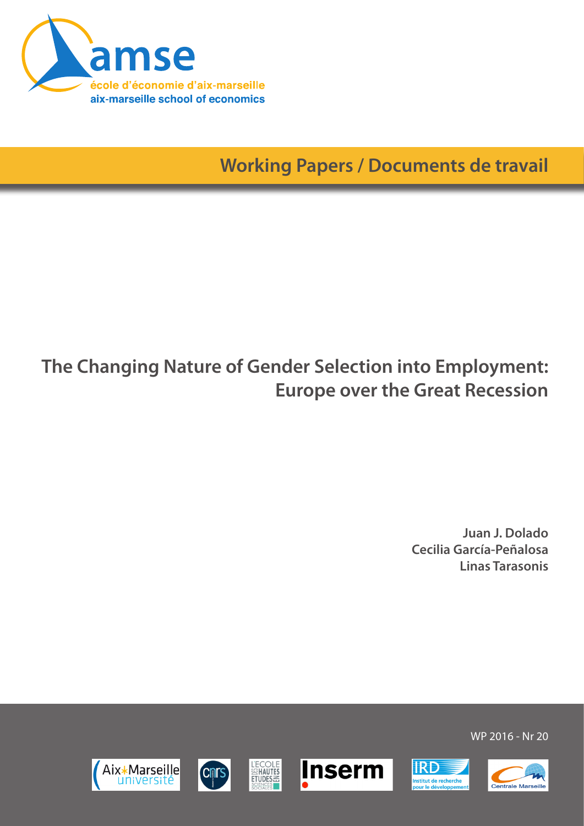

**Working Papers / Documents de travail**

# **The Changing Nature of Gender Selection into Employment: Europe over the Great Recession**

**Juan J. Dolado Cecilia García-Peñalosa Linas Tarasonis**













WP 2016 - Nr 20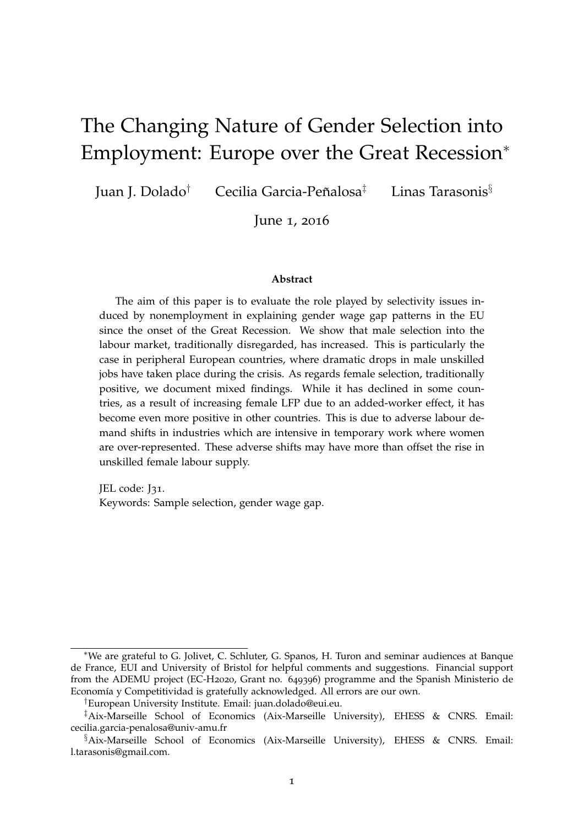# The Changing Nature of Gender Selection into Employment: Europe over the Great Recession<sup>∗</sup>

Juan J. Dolado<sup>†</sup> Cecilia Garcia-Peñalosa<sup>‡</sup> Linas Tarasonis $§$ 

June 1, 2016

#### **Abstract**

The aim of this paper is to evaluate the role played by selectivity issues induced by nonemployment in explaining gender wage gap patterns in the EU since the onset of the Great Recession. We show that male selection into the labour market, traditionally disregarded, has increased. This is particularly the case in peripheral European countries, where dramatic drops in male unskilled jobs have taken place during the crisis. As regards female selection, traditionally positive, we document mixed findings. While it has declined in some countries, as a result of increasing female LFP due to an added-worker effect, it has become even more positive in other countries. This is due to adverse labour demand shifts in industries which are intensive in temporary work where women are over-represented. These adverse shifts may have more than offset the rise in unskilled female labour supply.

JEL code: J31. Keywords: Sample selection, gender wage gap.

<sup>∗</sup>We are grateful to G. Jolivet, C. Schluter, G. Spanos, H. Turon and seminar audiences at Banque de France, EUI and University of Bristol for helpful comments and suggestions. Financial support from the ADEMU project (EC-H2020, Grant no. 649396) programme and the Spanish Ministerio de Economía y Competitividad is gratefully acknowledged. All errors are our own.

<sup>†</sup>European University Institute. Email: [juan.dolado@eui.eu.](juan.dolado@eui.eu)

<sup>‡</sup>Aix-Marseille School of Economics (Aix-Marseille University), EHESS & CNRS. Email: <cecilia.garcia-penalosa@univ-amu.fr>

<sup>§</sup>Aix-Marseille School of Economics (Aix-Marseille University), EHESS & CNRS. Email: [l.tarasonis@gmail.com.](l.tarasonis@gmail.com)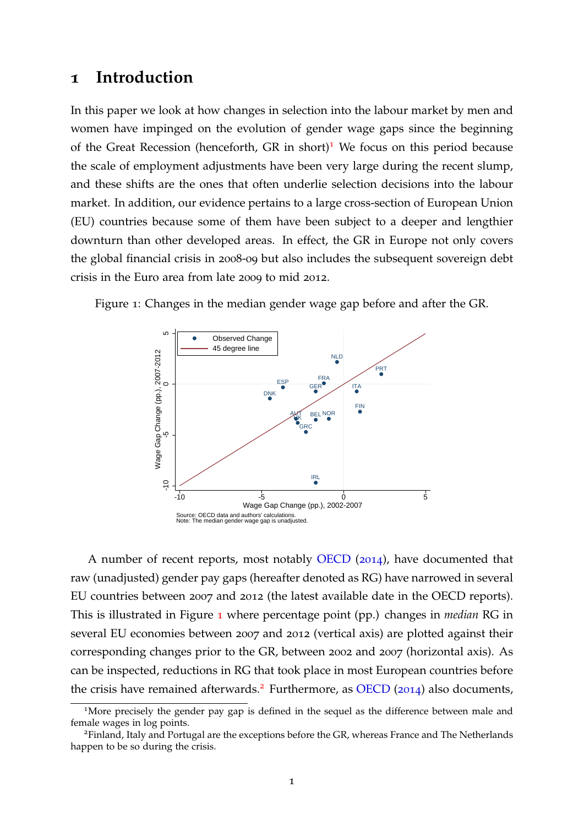### **1 Introduction**

In this paper we look at how changes in selection into the labour market by men and women have impinged on the evolution of gender wage gaps since the beginning of the Great Recession (henceforth, GR in short)<sup>[1](#page-2-0)</sup> We focus on this period because the scale of employment adjustments have been very large during the recent slump, and these shifts are the ones that often underlie selection decisions into the labour market. In addition, our evidence pertains to a large cross-section of European Union (EU) countries because some of them have been subject to a deeper and lengthier downturn than other developed areas. In effect, the GR in Europe not only covers the global financial crisis in 2008-09 but also includes the subsequent sovereign debt crisis in the Euro area from late 2009 to mid 2012.



<span id="page-2-1"></span>Figure 1: Changes in the median gender wage gap before and after the GR.

A number of recent reports, most notably [OECD](#page-30-0) ([2014](#page-30-0)), have documented that raw (unadjusted) gender pay gaps (hereafter denoted as RG) have narrowed in several EU countries between 2007 and 2012 (the latest available date in the OECD reports). This is illustrated in Figure [1](#page-2-1) where percentage point (pp.) changes in *median* RG in several EU economies between 2007 and 2012 (vertical axis) are plotted against their corresponding changes prior to the GR, between 2002 and 2007 (horizontal axis). As can be inspected, reductions in RG that took place in most European countries before the crisis have remained afterwards.<sup>[2](#page-2-2)</sup> Furthermore, as [OECD](#page-30-0) ([2014](#page-30-0)) also documents,

<span id="page-2-0"></span><sup>&</sup>lt;sup>1</sup>More precisely the gender pay gap is defined in the sequel as the difference between male and female wages in log points.

<span id="page-2-2"></span><sup>&</sup>lt;sup>2</sup>Finland, Italy and Portugal are the exceptions before the GR, whereas France and The Netherlands happen to be so during the crisis.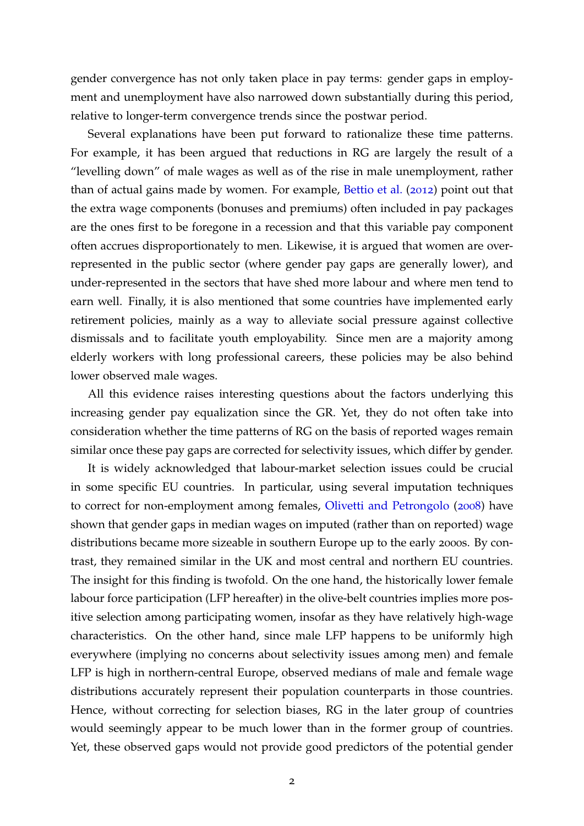gender convergence has not only taken place in pay terms: gender gaps in employment and unemployment have also narrowed down substantially during this period, relative to longer-term convergence trends since the postwar period.

Several explanations have been put forward to rationalize these time patterns. For example, it has been argued that reductions in RG are largely the result of a "levelling down" of male wages as well as of the rise in male unemployment, rather than of actual gains made by women. For example, [Bettio et al.](#page-29-0) ([2012](#page-29-0)) point out that the extra wage components (bonuses and premiums) often included in pay packages are the ones first to be foregone in a recession and that this variable pay component often accrues disproportionately to men. Likewise, it is argued that women are overrepresented in the public sector (where gender pay gaps are generally lower), and under-represented in the sectors that have shed more labour and where men tend to earn well. Finally, it is also mentioned that some countries have implemented early retirement policies, mainly as a way to alleviate social pressure against collective dismissals and to facilitate youth employability. Since men are a majority among elderly workers with long professional careers, these policies may be also behind lower observed male wages.

All this evidence raises interesting questions about the factors underlying this increasing gender pay equalization since the GR. Yet, they do not often take into consideration whether the time patterns of RG on the basis of reported wages remain similar once these pay gaps are corrected for selectivity issues, which differ by gender.

It is widely acknowledged that labour-market selection issues could be crucial in some specific EU countries. In particular, using several imputation techniques to correct for non-employment among females, [Olivetti and Petrongolo](#page-30-1) ([2008](#page-30-1)) have shown that gender gaps in median wages on imputed (rather than on reported) wage distributions became more sizeable in southern Europe up to the early 2000s. By contrast, they remained similar in the UK and most central and northern EU countries. The insight for this finding is twofold. On the one hand, the historically lower female labour force participation (LFP hereafter) in the olive-belt countries implies more positive selection among participating women, insofar as they have relatively high-wage characteristics. On the other hand, since male LFP happens to be uniformly high everywhere (implying no concerns about selectivity issues among men) and female LFP is high in northern-central Europe, observed medians of male and female wage distributions accurately represent their population counterparts in those countries. Hence, without correcting for selection biases, RG in the later group of countries would seemingly appear to be much lower than in the former group of countries. Yet, these observed gaps would not provide good predictors of the potential gender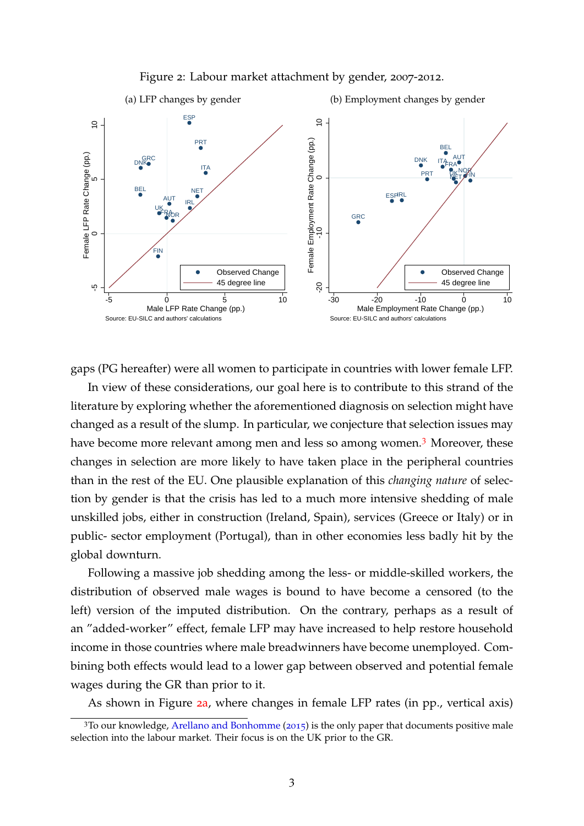<span id="page-4-1"></span>

#### <span id="page-4-2"></span>Figure 2: Labour market attachment by gender, 2007-2012.

gaps (PG hereafter) were all women to participate in countries with lower female LFP.

In view of these considerations, our goal here is to contribute to this strand of the literature by exploring whether the aforementioned diagnosis on selection might have changed as a result of the slump. In particular, we conjecture that selection issues may have become more relevant among men and less so among women.<sup>[3](#page-4-0)</sup> Moreover, these changes in selection are more likely to have taken place in the peripheral countries than in the rest of the EU. One plausible explanation of this *changing nature* of selection by gender is that the crisis has led to a much more intensive shedding of male unskilled jobs, either in construction (Ireland, Spain), services (Greece or Italy) or in public- sector employment (Portugal), than in other economies less badly hit by the global downturn.

Following a massive job shedding among the less- or middle-skilled workers, the distribution of observed male wages is bound to have become a censored (to the left) version of the imputed distribution. On the contrary, perhaps as a result of an "added-worker" effect, female LFP may have increased to help restore household income in those countries where male breadwinners have become unemployed. Combining both effects would lead to a lower gap between observed and potential female wages during the GR than prior to it.

As shown in Figure 2[a,](#page-4-1) where changes in female LFP rates (in pp., vertical axis)

<span id="page-4-0"></span><sup>&</sup>lt;sup>3</sup>To our knowledge, [Arellano and Bonhomme](#page-29-1) ([2015](#page-29-1)) is the only paper that documents positive male selection into the labour market. Their focus is on the UK prior to the GR.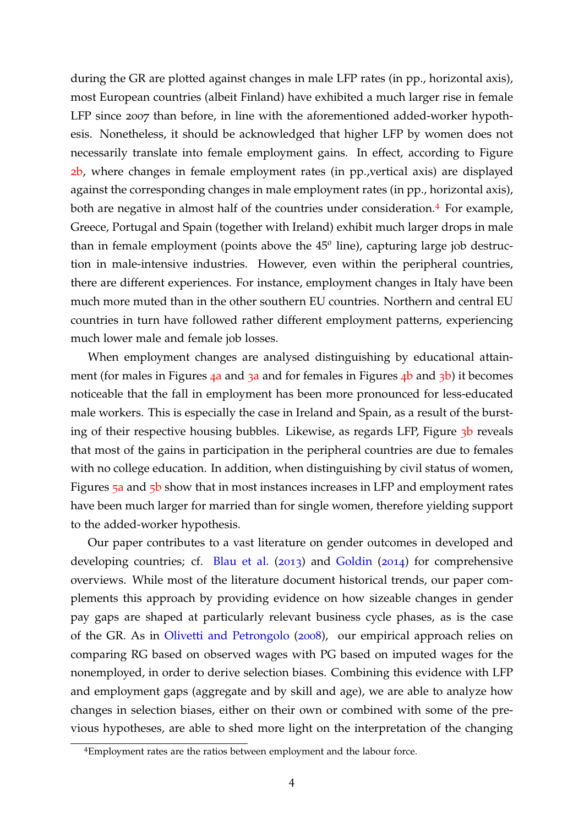during the GR are plotted against changes in male LFP rates (in pp., horizontal axis), most European countries (albeit Finland) have exhibited a much larger rise in female LFP since 2007 than before, in line with the aforementioned added-worker hypothesis. Nonetheless, it should be acknowledged that higher LFP by women does not necessarily translate into female employment gains. In effect, according to Figure 2[b,](#page-4-2) where changes in female employment rates (in pp.,vertical axis) are displayed against the corresponding changes in male employment rates (in pp., horizontal axis), both are negative in almost half of the countries under consideration.<sup>[4](#page-5-0)</sup> For example, Greece, Portugal and Spain (together with Ireland) exhibit much larger drops in male than in female employment (points above the 45*<sup>o</sup>* line), capturing large job destruction in male-intensive industries. However, even within the peripheral countries, there are different experiences. For instance, employment changes in Italy have been much more muted than in the other southern EU countries. Northern and central EU countries in turn have followed rather different employment patterns, experiencing much lower male and female job losses.

When employment changes are analysed distinguishing by educational attainment (for m[a](#page-6-1)les in Figures  $4a$  and  $3a$  and for females in Figures  $4b$  $4b$  and  $3b$ ) it becomes noticeable that the fall in employment has been more pronounced for less-educated male workers. This is especially the case in Ireland and Spain, as a result of the bursting of their respective housing [b](#page-6-3)ubbles. Likewise, as regards LFP, Figure 3b reveals that most of the gains in participation in the peripheral countries are due to females with no college education. In addition, when distinguishing by civil status of women, Figures 5[a](#page-7-0) and 5[b](#page-7-1) show that in most instances increases in LFP and employment rates have been much larger for married than for single women, therefore yielding support to the added-worker hypothesis.

Our paper contributes to a vast literature on gender outcomes in developed and developing countries; cf. [Blau et al.](#page-29-2) ([2013](#page-29-2)) and [Goldin](#page-29-3) ([2014](#page-29-3)) for comprehensive overviews. While most of the literature document historical trends, our paper complements this approach by providing evidence on how sizeable changes in gender pay gaps are shaped at particularly relevant business cycle phases, as is the case of the GR. As in [Olivetti and Petrongolo](#page-30-1) ([2008](#page-30-1)), our empirical approach relies on comparing RG based on observed wages with PG based on imputed wages for the nonemployed, in order to derive selection biases. Combining this evidence with LFP and employment gaps (aggregate and by skill and age), we are able to analyze how changes in selection biases, either on their own or combined with some of the previous hypotheses, are able to shed more light on the interpretation of the changing

<span id="page-5-0"></span><sup>4</sup>Employment rates are the ratios between employment and the labour force.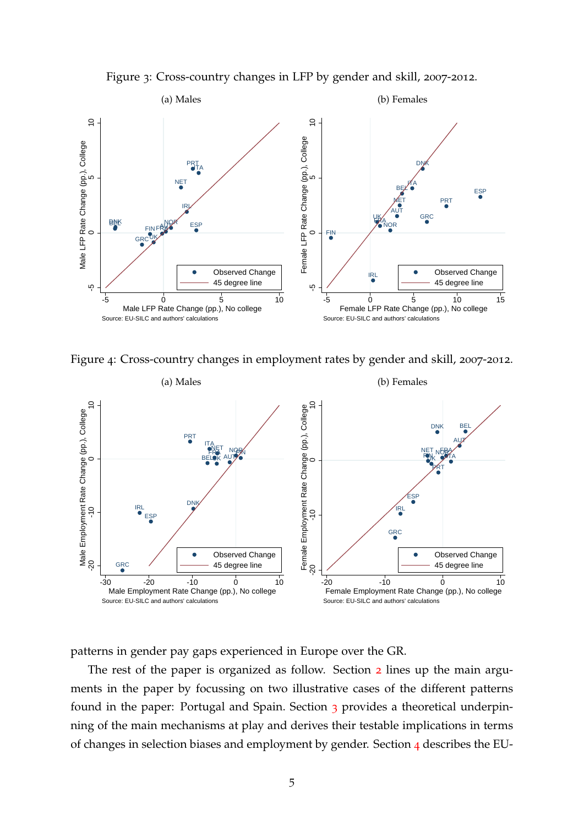<span id="page-6-3"></span>Figure 3: Cross-country changes in LFP by gender and skill, 2007-2012.

<span id="page-6-1"></span>

<span id="page-6-2"></span>Figure 4: Cross-country changes in employment rates by gender and skill, 2007-2012.

<span id="page-6-0"></span>

patterns in gender pay gaps experienced in Europe over the GR.

The rest of the paper is organized as follow. Section [2](#page-7-2) lines up the main arguments in the paper by focussing on two illustrative cases of the different patterns found in the paper: Portugal and Spain. Section [3](#page-10-0) provides a theoretical underpinning of the main mechanisms at play and derives their testable implications in terms of changes in selection biases and employment by gender. Section [4](#page-15-0) describes the EU-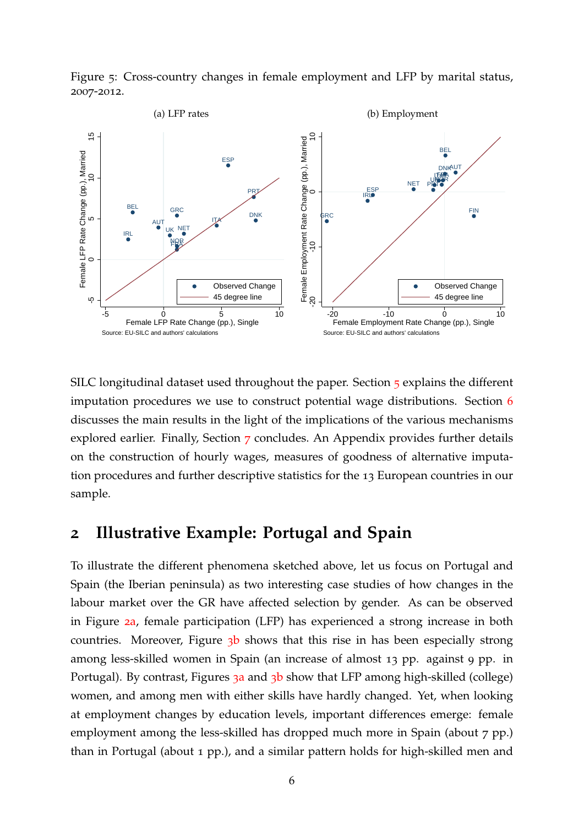<span id="page-7-0"></span>

<span id="page-7-1"></span>Figure 5: Cross-country changes in female employment and LFP by marital status, 2007-2012.

SILC longitudinal dataset used throughout the paper. Section [5](#page-16-0) explains the different imputation procedures we use to construct potential wage distributions. Section [6](#page-19-0) discusses the main results in the light of the implications of the various mechanisms explored earlier. Finally, Section [7](#page-27-0) concludes. An Appendix provides further details on the construction of hourly wages, measures of goodness of alternative imputation procedures and further descriptive statistics for the 13 European countries in our sample.

# <span id="page-7-2"></span>**2 Illustrative Example: Portugal and Spain**

To illustrate the different phenomena sketched above, let us focus on Portugal and Spain (the Iberian peninsula) as two interesting case studies of how changes in the labour market over the GR have affected selection by gender. As can be observed in Figure 2[a,](#page-4-1) female participation (LFP) has experienced a strong increase in both countries. Moreover, Figure  $3b$  $3b$  shows that this rise in has been especially strong among less-skilled women in Spain (an increase of almost 13 pp. against 9 pp. in Portug[a](#page-6-1)l). By contrast, Figures 3a and 3[b](#page-6-3) show that LFP among high-skilled (college) women, and among men with either skills have hardly changed. Yet, when looking at employment changes by education levels, important differences emerge: female employment among the less-skilled has dropped much more in Spain (about 7 pp.) than in Portugal (about 1 pp.), and a similar pattern holds for high-skilled men and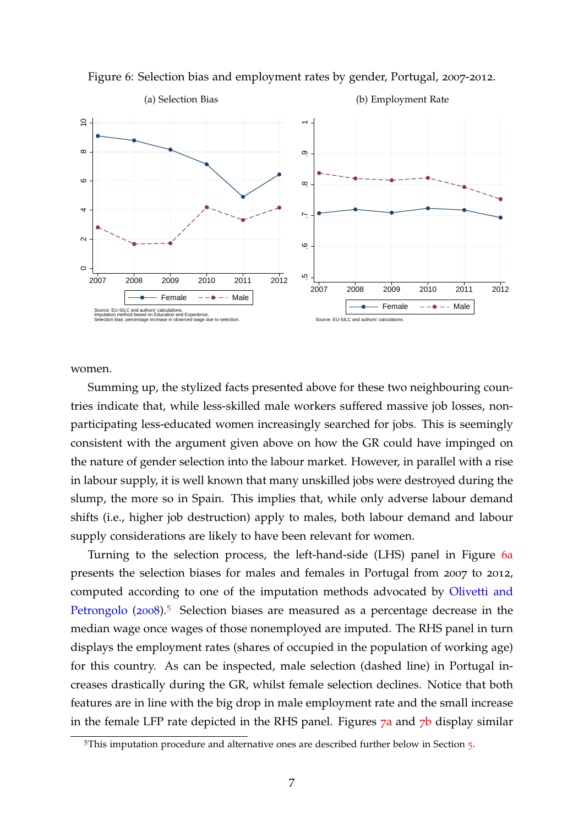<span id="page-8-0"></span>

Figure 6: Selection bias and employment rates by gender, Portugal, 2007-2012.

women.

Summing up, the stylized facts presented above for these two neighbouring countries indicate that, while less-skilled male workers suffered massive job losses, nonparticipating less-educated women increasingly searched for jobs. This is seemingly consistent with the argument given above on how the GR could have impinged on the nature of gender selection into the labour market. However, in parallel with a rise in labour supply, it is well known that many unskilled jobs were destroyed during the slump, the more so in Spain. This implies that, while only adverse labour demand shifts (i.e., higher job destruction) apply to males, both labour demand and labour supply considerations are likely to have been relevant for women.

Turning to the selection process, the left-hand-side (LHS) panel in Figure 6[a](#page-8-0) presents the selection biases for males and females in Portugal from 2007 to 2012, computed according to one of the imputation methods advocated by [Olivetti and](#page-30-1) [Petrongolo](#page-30-1) ([2008](#page-30-1)).<sup>[5](#page-8-1)</sup> Selection biases are measured as a percentage decrease in the median wage once wages of those nonemployed are imputed. The RHS panel in turn displays the employment rates (shares of occupied in the population of working age) for this country. As can be inspected, male selection (dashed line) in Portugal increases drastically during the GR, whilst female selection declines. Notice that both features are in line with the big drop in male employment rate and the small increase in the fem[a](#page-9-0)le LFP rate depicted in the RHS panel. Figures  $7a$  and  $7b$  $7b$  display similar

<span id="page-8-1"></span><sup>&</sup>lt;sup>[5](#page-16-0)</sup>This imputation procedure and alternative ones are described further below in Section 5.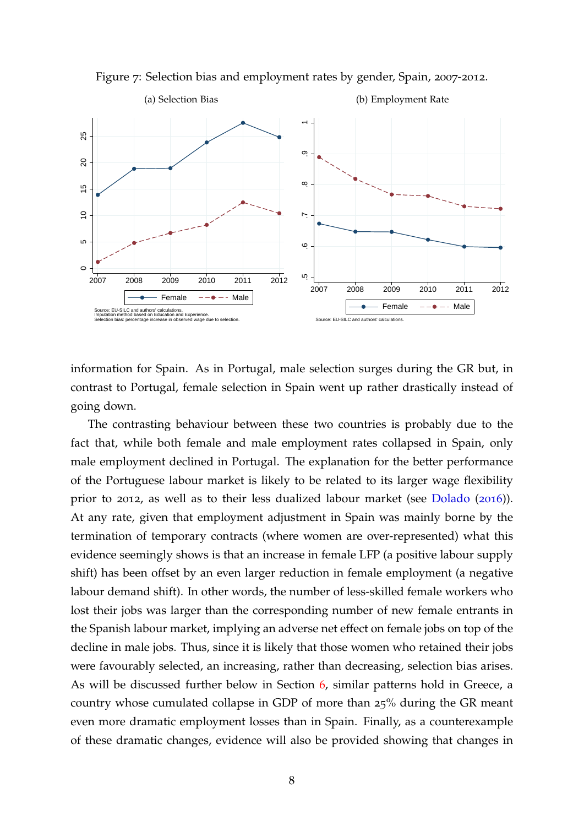<span id="page-9-0"></span>

<span id="page-9-1"></span>Figure 7: Selection bias and employment rates by gender, Spain, 2007-2012.

information for Spain. As in Portugal, male selection surges during the GR but, in contrast to Portugal, female selection in Spain went up rather drastically instead of going down.

The contrasting behaviour between these two countries is probably due to the fact that, while both female and male employment rates collapsed in Spain, only male employment declined in Portugal. The explanation for the better performance of the Portuguese labour market is likely to be related to its larger wage flexibility prior to 2012, as well as to their less dualized labour market (see [Dolado](#page-29-4) ([2016](#page-29-4))). At any rate, given that employment adjustment in Spain was mainly borne by the termination of temporary contracts (where women are over-represented) what this evidence seemingly shows is that an increase in female LFP (a positive labour supply shift) has been offset by an even larger reduction in female employment (a negative labour demand shift). In other words, the number of less-skilled female workers who lost their jobs was larger than the corresponding number of new female entrants in the Spanish labour market, implying an adverse net effect on female jobs on top of the decline in male jobs. Thus, since it is likely that those women who retained their jobs were favourably selected, an increasing, rather than decreasing, selection bias arises. As will be discussed further below in Section [6](#page-19-0), similar patterns hold in Greece, a country whose cumulated collapse in GDP of more than 25% during the GR meant even more dramatic employment losses than in Spain. Finally, as a counterexample of these dramatic changes, evidence will also be provided showing that changes in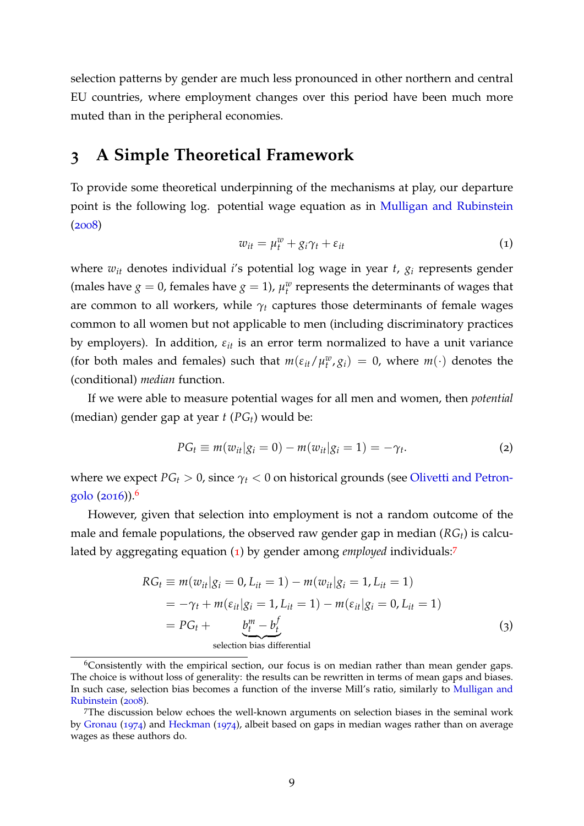selection patterns by gender are much less pronounced in other northern and central EU countries, where employment changes over this period have been much more muted than in the peripheral economies.

## <span id="page-10-0"></span>**3 A Simple Theoretical Framework**

To provide some theoretical underpinning of the mechanisms at play, our departure point is the following log. potential wage equation as in [Mulligan and Rubinstein](#page-30-2) ([2008](#page-30-2))

<span id="page-10-2"></span>
$$
w_{it} = \mu_t^w + g_i \gamma_t + \varepsilon_{it}
$$
 (1)

where *wit* denotes individual *i*'s potential log wage in year *t*, *g<sup>i</sup>* represents gender (males have *g* = 0, females have *g* = 1),  $\mu_t^w$  represents the determinants of wages that are common to all workers, while  $\gamma_t$  captures those determinants of female wages common to all women but not applicable to men (including discriminatory practices by employers). In addition,  $\varepsilon_{it}$  is an error term normalized to have a unit variance (for both males and females) such that  $m(\varepsilon_{it}/\mu_t^w, g_i) = 0$ , where  $m(\cdot)$  denotes the (conditional) *median* function.

If we were able to measure potential wages for all men and women, then *potential* (median) gender gap at year *t* (*PGt*) would be:

$$
PG_{t} \equiv m(w_{it}|g_{i}=0) - m(w_{it}|g_{i}=1) = -\gamma_{t}.
$$
 (2)

where we expect  $PG_t > 0$ , since  $\gamma_t < 0$  on historical grounds (see [Olivetti and Petron](#page-30-3)[golo](#page-30-3)  $(2016)$  $(2016)$  $(2016)$ .<sup>[6](#page-10-1)</sup>

However, given that selection into employment is not a random outcome of the male and female populations, the observed raw gender gap in median (*RGt*) is calculated by aggregating equation ([1](#page-10-2)) by gender among *employed* individuals:[7](#page-10-3)

<span id="page-10-4"></span>
$$
RG_t \equiv m(w_{it}|g_i = 0, L_{it} = 1) - m(w_{it}|g_i = 1, L_{it} = 1)
$$
  
=  $-\gamma_t + m(\varepsilon_{it}|g_i = 1, L_{it} = 1) - m(\varepsilon_{it}|g_i = 0, L_{it} = 1)$   
=  $PG_t + \underbrace{b_t^m - b_t^f}_{\text{selection bias differential}}$  (3)

<span id="page-10-1"></span> $6$ Consistently with the empirical section, our focus is on median rather than mean gender gaps. The choice is without loss of generality: the results can be rewritten in terms of mean gaps and biases. In such case, selection bias becomes a function of the inverse Mill's ratio, similarly to [Mulligan and](#page-30-2) [Rubinstein](#page-30-2) ([2008](#page-30-2)).

<span id="page-10-3"></span><sup>7</sup>The discussion below echoes the well-known arguments on selection biases in the seminal work by [Gronau](#page-29-5) ([1974](#page-29-5)) and [Heckman](#page-29-6) ([1974](#page-29-6)), albeit based on gaps in median wages rather than on average wages as these authors do.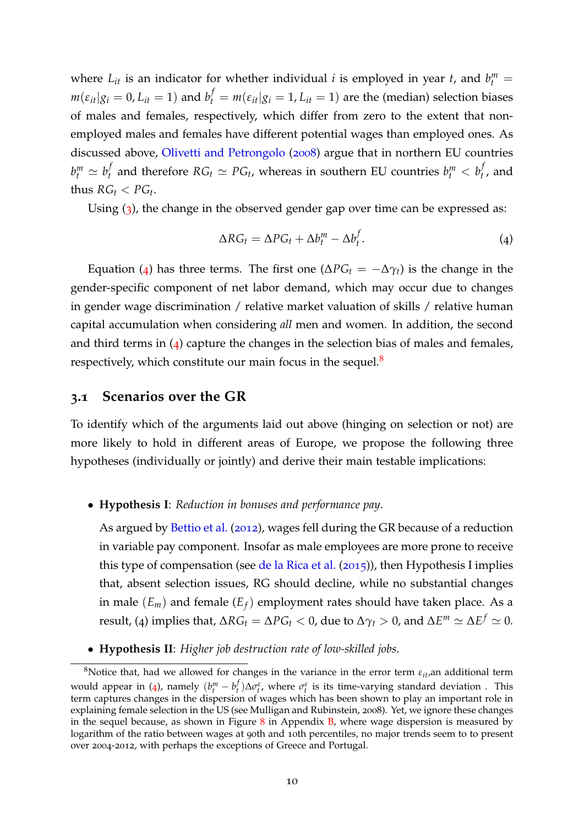where  $L_{it}$  is an indicator for whether individual *i* is employed in year *t*, and  $b_t^m$  $m(\varepsilon_{it}|g_i=0,L_{it}=1)$  and  $b_t^f=m(\varepsilon_{it}|g_i=1,L_{it}=1)$  are the (median) selection biases of males and females, respectively, which differ from zero to the extent that nonemployed males and females have different potential wages than employed ones. As discussed above, [Olivetti and Petrongolo](#page-30-1) ([2008](#page-30-1)) argue that in northern EU countries  $b_t^m \simeq b_t^f$  $f_t$  and therefore  $RG_t \simeq PG_t$ , whereas in southern EU countries  $b_t^m < b_t^f$  $t'$ , and thus  $RG_t < PG_t$ .

Using ([3](#page-10-4)), the change in the observed gender gap over time can be expressed as:

<span id="page-11-0"></span>
$$
\Delta RG_t = \Delta PG_t + \Delta b_t^m - \Delta b_t^f. \tag{4}
$$

Equation ([4](#page-11-0)) has three terms. The first one ( $\Delta PG_t = -\Delta \gamma_t$ ) is the change in the gender-specific component of net labor demand, which may occur due to changes in gender wage discrimination / relative market valuation of skills / relative human capital accumulation when considering *all* men and women. In addition, the second and third terms in  $(4)$  $(4)$  $(4)$  capture the changes in the selection bias of males and females, respectively, which constitute our main focus in the sequel. $8$ 

#### <span id="page-11-2"></span>**3.1 Scenarios over the GR**

To identify which of the arguments laid out above (hinging on selection or not) are more likely to hold in different areas of Europe, we propose the following three hypotheses (individually or jointly) and derive their main testable implications:

#### • **Hypothesis I**: *Reduction in bonuses and performance pay*.

As argued by [Bettio et al.](#page-29-0) ([2012](#page-29-0)), wages fell during the GR because of a reduction in variable pay component. Insofar as male employees are more prone to receive this type of compensation (see [de la Rica et al.](#page-29-7) ([2015](#page-29-7))), then Hypothesis I implies that, absent selection issues, RG should decline, while no substantial changes in male  $(E_m)$  and female  $(E_f)$  employment rates should have taken place. As a result, (4) implies that,  $\Delta RG_t = \Delta PG_t < 0$ , due to  $\Delta \gamma_t > 0$ , and  $\Delta E^m \simeq \Delta E^f \simeq 0.$ 

• **Hypothesis II**: *Higher job destruction rate of low-skilled jobs*.

<span id="page-11-1"></span><sup>8</sup>Notice that, had we allowed for changes in the variance in the error term *<sup>ε</sup>it*,an additional term would appear in ([4](#page-11-0)), namely  $(b_t^m - b_t^f)$  $\sigma_t^f$ ) $\Delta \sigma_t^{\varepsilon}$ , where  $\sigma_t^{\varepsilon}$  is its time-varying standard deviation . This term captures changes in the dispersion of wages which has been shown to play an important role in explaining female selection in the US (see Mulligan and Rubinstein, 2008). Yet, we ignore these changes in the sequel because, as shown in Figure  $8$  in Appendix  $B$ , where wage dispersion is measured by logarithm of the ratio between wages at 90th and 10th percentiles, no major trends seem to to present over 2004-2012, with perhaps the exceptions of Greece and Portugal.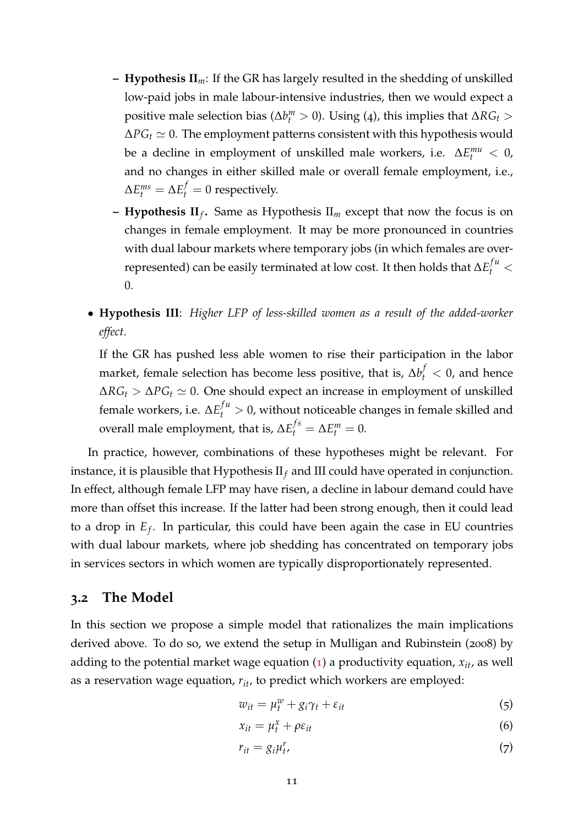- **– Hypothesis II***m*: If the GR has largely resulted in the shedding of unskilled low-paid jobs in male labour-intensive industries, then we would expect a positive male selection bias ( $\Delta b_t^m > 0$ ). Using (4), this implies that  $\Delta RG_t >$  $\Delta PG_t \simeq 0$ . The employment patterns consistent with this hypothesis would be a decline in employment of unskilled male workers, i.e.  $\Delta E_t^{mu} < 0$ , and no changes in either skilled male or overall female employment, i.e.,  $\Delta E_t^{ms} = \Delta E_t^f = 0$  respectively.
- **– Hypothesis II***<sup>f</sup>* **.** Same as Hypothesis II*<sup>m</sup>* except that now the focus is on changes in female employment. It may be more pronounced in countries with dual labour markets where temporary jobs (in which females are overrepresented) can be easily terminated at low cost. It then holds that  $\Delta E_t^{fu} <$ 0.
- **Hypothesis III**: *Higher LFP of less-skilled women as a result of the added-worker effect*.

If the GR has pushed less able women to rise their participation in the labor market, female selection has become less positive, that is,  $\Delta b_t^f < 0$ , and hence  $\Delta RG_t > \Delta PG_t \simeq 0$ . One should expect an increase in employment of unskilled female workers, i.e.  $\Delta E_t^{fu} > 0$ , without noticeable changes in female skilled and overall male employment, that is,  $\Delta E_t^{fs} = \Delta E_t^m = 0$ .

In practice, however, combinations of these hypotheses might be relevant. For instance, it is plausible that Hypothesis II*<sup>f</sup>* and III could have operated in conjunction. In effect, although female LFP may have risen, a decline in labour demand could have more than offset this increase. If the latter had been strong enough, then it could lead to a drop in *E<sup>f</sup>* . In particular, this could have been again the case in EU countries with dual labour markets, where job shedding has concentrated on temporary jobs in services sectors in which women are typically disproportionately represented.

### **3.2 The Model**

In this section we propose a simple model that rationalizes the main implications derived above. To do so, we extend the setup in Mulligan and Rubinstein (2008) by adding to the potential market wage equation  $(1)$  $(1)$  $(1)$  a productivity equation,  $x_{it}$ , as well as a reservation wage equation, *rit*, to predict which workers are employed:

$$
w_{it} = \mu_t^w + g_i \gamma_t + \varepsilon_{it} \tag{5}
$$

$$
x_{it} = \mu_t^x + \rho \varepsilon_{it} \tag{6}
$$

$$
r_{it} = g_i \mu_t^r, \tag{7}
$$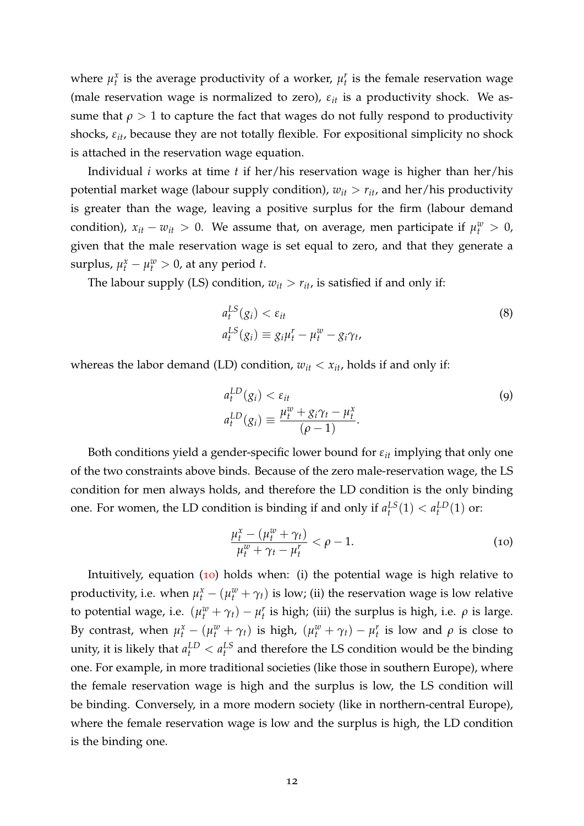where  $\mu_t^x$  is the average productivity of a worker,  $\mu_t^r$  is the female reservation wage (male reservation wage is normalized to zero),  $\varepsilon_{it}$  is a productivity shock. We assume that  $\rho > 1$  to capture the fact that wages do not fully respond to productivity shocks, *εit*, because they are not totally flexible. For expositional simplicity no shock is attached in the reservation wage equation.

Individual *i* works at time *t* if her/his reservation wage is higher than her/his potential market wage (labour supply condition),  $w_{it} > r_{it}$ , and her/his productivity is greater than the wage, leaving a positive surplus for the firm (labour demand condition),  $x_{it} - w_{it} > 0$ . We assume that, on average, men participate if  $\mu_t^w > 0$ , given that the male reservation wage is set equal to zero, and that they generate a surplus,  $\mu_t^x - \mu_t^w > 0$ , at any period *t*.

The labour supply (LS) condition,  $w_{it} > r_{it}$ , is satisfied if and only if:

$$
a_t^{LS}(g_i) < \varepsilon_{it}
$$
\n
$$
a_t^{LS}(g_i) \equiv g_i \mu_t^r - \mu_t^w - g_i \gamma_t,\tag{8}
$$

whereas the labor demand (LD) condition,  $w_{it} < x_{it}$ , holds if and only if:

$$
a_t^{LD}(g_i) < \varepsilon_{it}
$$
\n
$$
a_t^{LD}(g_i) \equiv \frac{\mu_t^w + g_i \gamma_t - \mu_t^x}{(\rho - 1)}.
$$
\n
$$
(9)
$$

Both conditions yield a gender-specific lower bound for  $\varepsilon_{it}$  implying that only one of the two constraints above binds. Because of the zero male-reservation wage, the LS condition for men always holds, and therefore the LD condition is the only binding one. For women, the LD condition is binding if and only if  $a_t^{LS}(1) < a_t^{LD}(1)$  or:

<span id="page-13-0"></span>
$$
\frac{\mu_t^x - (\mu_t^w + \gamma_t)}{\mu_t^w + \gamma_t - \mu_t^r} < \rho - 1. \tag{10}
$$

Intuitively, equation  $(10)$  $(10)$  $(10)$  holds when: (i) the potential wage is high relative to productivity, i.e. when  $\mu_t^x - (\mu_t^w + \gamma_t)$  is low; (ii) the reservation wage is low relative to potential wage, i.e.  $(\mu_t^w + \gamma_t) - \mu_t^r$  is high; (iii) the surplus is high, i.e.  $\rho$  is large. By contrast, when  $\mu_t^x - (\mu_t^w + \gamma_t)$  is high,  $(\mu_t^w + \gamma_t) - \mu_t^r$  is low and  $\rho$  is close to unity, it is likely that  $a_t^{LD} < a_t^{LS}$  and therefore the LS condition would be the binding one. For example, in more traditional societies (like those in southern Europe), where the female reservation wage is high and the surplus is low, the LS condition will be binding. Conversely, in a more modern society (like in northern-central Europe), where the female reservation wage is low and the surplus is high, the LD condition is the binding one.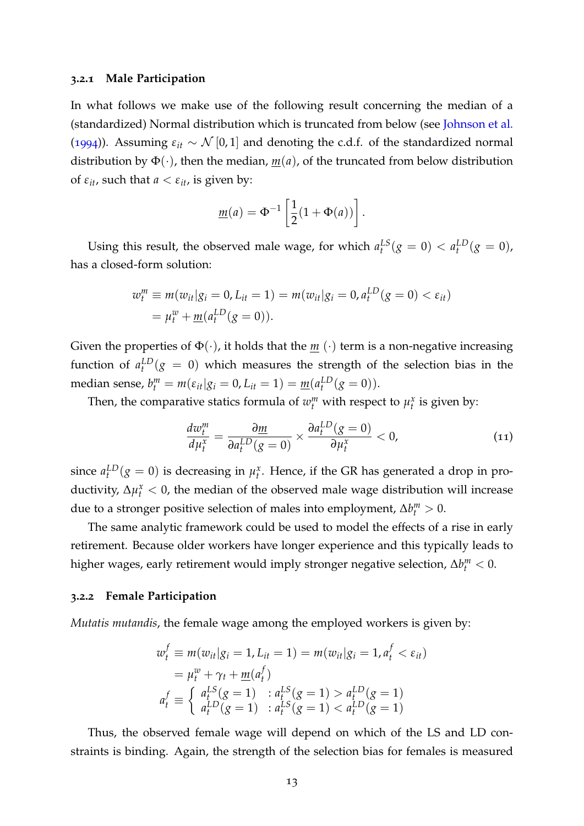#### **3.2.1 Male Participation**

In what follows we make use of the following result concerning the median of a (standardized) Normal distribution which is truncated from below (see [Johnson et al.](#page-29-8) ([1994](#page-29-8))). Assuming  $\varepsilon_{it} \sim \mathcal{N}[0,1]$  and denoting the c.d.f. of the standardized normal distribution by  $\Phi(\cdot)$ , then the median,  $m(a)$ , of the truncated from below distribution of  $\varepsilon_{it}$ , such that  $a < \varepsilon_{it}$ , is given by:

$$
\underline{m}(a) = \Phi^{-1}\left[\frac{1}{2}(1+\Phi(a))\right].
$$

Using this result, the observed male wage, for which  $a_t^{LS}(g = 0) < a_t^{LD}(g = 0)$ , has a closed-form solution:

$$
w_t^m \equiv m(w_{it}|g_i = 0, L_{it} = 1) = m(w_{it}|g_i = 0, a_t^{LD}(g = 0) < \varepsilon_{it})
$$
\n
$$
= \mu_t^w + \underline{m}(a_t^{LD}(g = 0)).
$$

Given the properties of  $\Phi(\cdot)$ , it holds that the  $\underline{m}(\cdot)$  term is a non-negative increasing function of  $a_t^{LD}(g = 0)$  which measures the strength of the selection bias in the median sense,  $b_t^m = m(\varepsilon_{it}|g_i = 0, L_{it} = 1) = \underline{m}(a_t^{LD}(g = 0)).$ 

Then, the comparative statics formula of  $w_t^m$  with respect to  $\mu_t^x$  is given by:

$$
\frac{dw_t^m}{d\mu_t^x} = \frac{\partial \underline{m}}{\partial a_t^{LD}(g=0)} \times \frac{\partial a_t^{LD}(g=0)}{\partial \mu_t^x} < 0,\tag{11}
$$

since  $a_t^{LD}(g = 0)$  is decreasing in  $\mu_t^x$ . Hence, if the GR has generated a drop in productivity,  $\Delta \mu_t^x < 0$ , the median of the observed male wage distribution will increase due to a stronger positive selection of males into employment,  $\Delta b_t^m > 0$ .

The same analytic framework could be used to model the effects of a rise in early retirement. Because older workers have longer experience and this typically leads to higher wages, early retirement would imply stronger negative selection,  $\Delta b_t^m < 0$ .

#### **3.2.2 Female Participation**

*Mutatis mutandis*, the female wage among the employed workers is given by:

$$
w_t^f \equiv m(w_{it}|g_i = 1, L_{it} = 1) = m(w_{it}|g_i = 1, a_t^f < \varepsilon_{it})
$$
  
=  $\mu_t^w + \gamma_t + m(a_t^f)$   

$$
a_t^f \equiv \begin{cases} a_t^{LS}(g = 1) & : a_t^{LS}(g = 1) > a_t^{LD}(g = 1) \\ a_t^{LD}(g = 1) & : a_t^{LS}(g = 1) < a_t^{LD}(g = 1) \end{cases}
$$

Thus, the observed female wage will depend on which of the LS and LD constraints is binding. Again, the strength of the selection bias for females is measured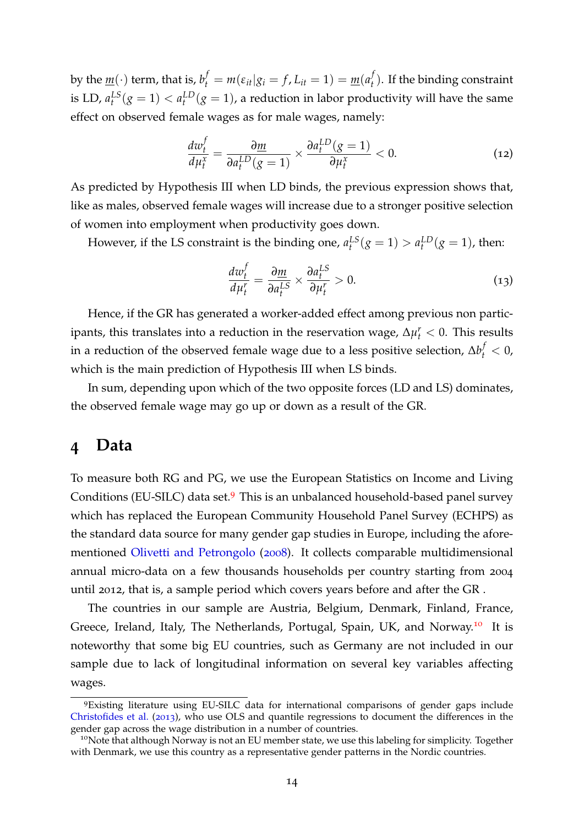by the  $\underline{m}(\cdot)$  term, that is,  $b_t^f = m(\varepsilon_{it}|g_i = f, L_{it} = 1) = \underline{m}(a_t^f)$  $\mathcal{L}_t^f$ ). If the binding constraint is LD,  $a_t^{LS}(g = 1) < a_t^{LD}(g = 1)$ , a reduction in labor productivity will have the same effect on observed female wages as for male wages, namely:

$$
\frac{dw_t^f}{d\mu_t^x} = \frac{\partial \underline{m}}{\partial a_t^{LD}(g=1)} \times \frac{\partial a_t^{LD}(g=1)}{\partial \mu_t^x} < 0. \tag{12}
$$

As predicted by Hypothesis III when LD binds, the previous expression shows that, like as males, observed female wages will increase due to a stronger positive selection of women into employment when productivity goes down.

However, if the LS constraint is the binding one,  $a_t^{LS}(g = 1) > a_t^{LD}(g = 1)$ , then:

$$
\frac{dw_t^f}{d\mu_t^r} = \frac{\partial \underline{m}}{\partial a_t^{LS}} \times \frac{\partial a_t^{LS}}{\partial \mu_t^r} > 0.
$$
\n(13)

Hence, if the GR has generated a worker-added effect among previous non participants, this translates into a reduction in the reservation wage, ∆*µ r <sup>t</sup>* < 0. This results in a reduction of the observed female wage due to a less positive selection,  $\Delta b_t^f < 0$ , which is the main prediction of Hypothesis III when LS binds.

In sum, depending upon which of the two opposite forces (LD and LS) dominates, the observed female wage may go up or down as a result of the GR.

# <span id="page-15-0"></span>**4 Data**

To measure both RG and PG, we use the European Statistics on Income and Living Conditions (EU-SILC) data set.<sup>[9](#page-15-1)</sup> This is an unbalanced household-based panel survey which has replaced the European Community Household Panel Survey (ECHPS) as the standard data source for many gender gap studies in Europe, including the aforementioned [Olivetti and Petrongolo](#page-30-1) ([2008](#page-30-1)). It collects comparable multidimensional annual micro-data on a few thousands households per country starting from 2004 until 2012, that is, a sample period which covers years before and after the GR .

The countries in our sample are Austria, Belgium, Denmark, Finland, France, Greece, Ireland, Italy, The Netherlands, Portugal, Spain, UK, and Norway.<sup>[10](#page-15-2)</sup> It is noteworthy that some big EU countries, such as Germany are not included in our sample due to lack of longitudinal information on several key variables affecting wages.

<span id="page-15-1"></span><sup>9</sup>Existing literature using EU-SILC data for international comparisons of gender gaps include [Christofides et al.](#page-29-9) ([2013](#page-29-9)), who use OLS and quantile regressions to document the differences in the gender gap across the wage distribution in a number of countries.

<span id="page-15-2"></span><sup>&</sup>lt;sup>10</sup>Note that although Norway is not an EU member state, we use this labeling for simplicity. Together with Denmark, we use this country as a representative gender patterns in the Nordic countries.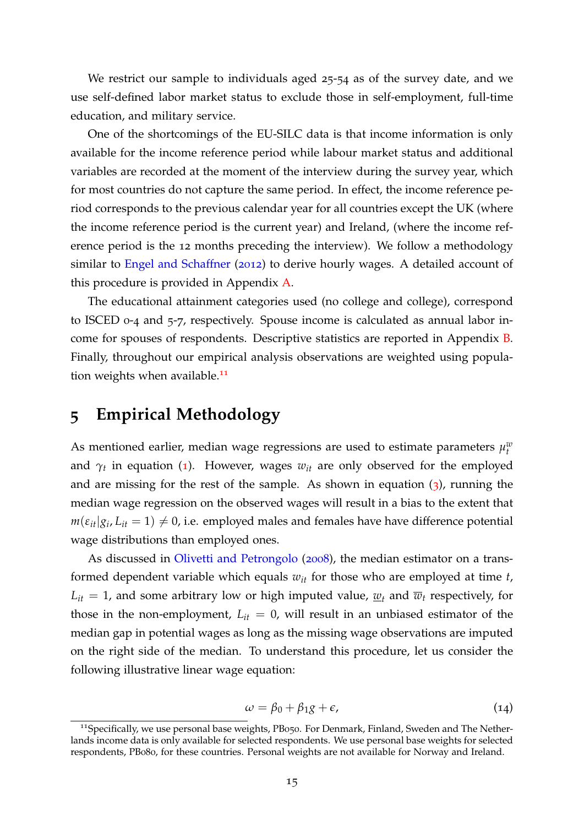We restrict our sample to individuals aged 25-54 as of the survey date, and we use self-defined labor market status to exclude those in self-employment, full-time education, and military service.

One of the shortcomings of the EU-SILC data is that income information is only available for the income reference period while labour market status and additional variables are recorded at the moment of the interview during the survey year, which for most countries do not capture the same period. In effect, the income reference period corresponds to the previous calendar year for all countries except the UK (where the income reference period is the current year) and Ireland, (where the income reference period is the 12 months preceding the interview). We follow a methodology similar to [Engel and Schaffner](#page-29-10) ([2012](#page-29-10)) to derive hourly wages. A detailed account of this procedure is provided in Appendix [A.](#page-31-1)

The educational attainment categories used (no college and college), correspond to ISCED 0-4 and 5-7, respectively. Spouse income is calculated as annual labor income for spouses of respondents. Descriptive statistics are reported in Appendix [B.](#page-31-0) Finally, throughout our empirical analysis observations are weighted using popula-tion weights when available.<sup>[11](#page-16-1)</sup>

# <span id="page-16-0"></span>**5 Empirical Methodology**

As mentioned earlier, median wage regressions are used to estimate parameters  $\mu_t^w$ and  $\gamma_t$  in equation ([1](#page-10-2)). However, wages  $w_{it}$  are only observed for the employed and are missing for the rest of the sample. As shown in equation  $(3)$  $(3)$  $(3)$ , running the median wage regression on the observed wages will result in a bias to the extent that  $m(\varepsilon_{it}|g_i,L_{it}=1) \neq 0$ , i.e. employed males and females have have difference potential wage distributions than employed ones.

As discussed in [Olivetti and Petrongolo](#page-30-1) ([2008](#page-30-1)), the median estimator on a transformed dependent variable which equals *wit* for those who are employed at time *t*,  $L_{it} = 1$ , and some arbitrary low or high imputed value,  $\underline{w}_t$  and  $\overline{w}_t$  respectively, for those in the non-employment,  $L_{it} = 0$ , will result in an unbiased estimator of the median gap in potential wages as long as the missing wage observations are imputed on the right side of the median. To understand this procedure, let us consider the following illustrative linear wage equation:

$$
\omega = \beta_0 + \beta_1 g + \epsilon, \tag{14}
$$

<span id="page-16-1"></span><sup>&</sup>lt;sup>11</sup>Specifically, we use personal base weights, PB050. For Denmark, Finland, Sweden and The Netherlands income data is only available for selected respondents. We use personal base weights for selected respondents, PB080, for these countries. Personal weights are not available for Norway and Ireland.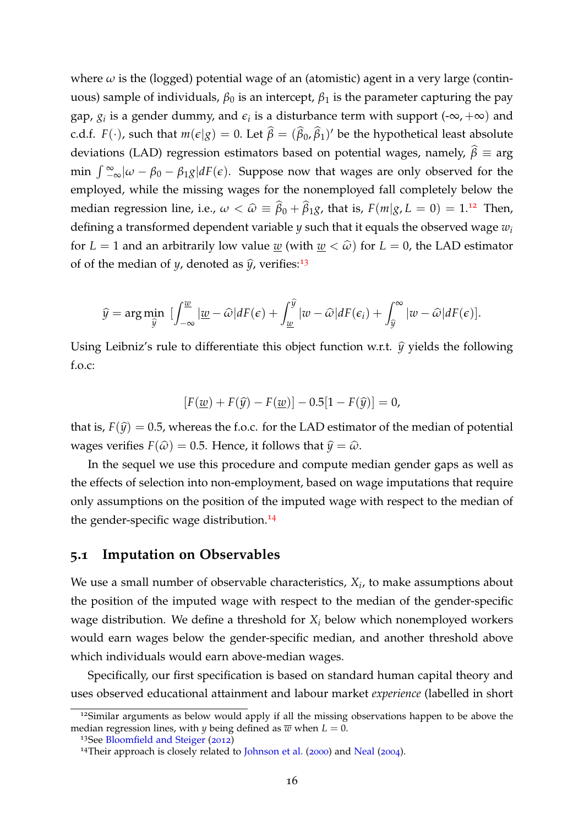where  $\omega$  is the (logged) potential wage of an (atomistic) agent in a very large (continuous) sample of individuals,  $\beta_0$  is an intercept,  $\beta_1$  is the parameter capturing the pay gap,  $g_i$  is a gender dummy, and  $\epsilon_i$  is a disturbance term with support (- $\infty$ ,  $+\infty$ ) and c.d.f.  $F(\cdot)$ , such that  $m(\epsilon|g) = 0$ . Let  $\widehat{\beta} = (\widehat{\beta}_0, \widehat{\beta}_1)'$  be the hypothetical least absolute deviations (LAD) regression estimators based on potential wages, namely,  $\hat{\beta} \equiv \arg \beta$ min  $\int_{-\infty}^{\infty}$   $|\omega - \beta_0 - \beta_1 g| dF(\epsilon)$ . Suppose now that wages are only observed for the employed, while the missing wages for the nonemployed fall completely below the median regression line, i.e.,  $\omega < \hat{\omega} \equiv \hat{\beta}_0 + \hat{\beta}_1 g$ , that is,  $F(m|g, L = 0) = 1.12$  $F(m|g, L = 0) = 1.12$  Then, defining a transformed dependent variable *y* such that it equals the observed wage *w<sup>i</sup>* for  $L = 1$  and an arbitrarily low value <u>w</u> (with  $w < \hat{\omega}$ ) for  $L = 0$ , the LAD estimator of of the median of *y*, denoted as  $\hat{y}$ , verifies:<sup>[13](#page-17-1)</sup>

$$
\widehat{y} = \arg\min_{\widehat{y}} \left[ \int_{-\infty}^{\underline{w}} \left| \underline{w} - \widehat{\omega} \right| dF(\epsilon) + \int_{\underline{w}}^{\widehat{y}} \left| w - \widehat{\omega} \right| dF(\epsilon_i) + \int_{\widehat{y}}^{\infty} \left| w - \widehat{\omega} \right| dF(\epsilon) \right].
$$

Using Leibniz's rule to differentiate this object function w.r.t.  $\hat{y}$  yields the following f.o.c:

$$
[F(\underline{w}) + F(\widehat{y}) - F(\underline{w})] - 0.5[1 - F(\widehat{y})] = 0,
$$

that is,  $F(\hat{y}) = 0.5$ , whereas the f.o.c. for the LAD estimator of the median of potential wages verifies  $F(\hat{\omega}) = 0.5$ . Hence, it follows that  $\hat{\psi} = \hat{\omega}$ .

In the sequel we use this procedure and compute median gender gaps as well as the effects of selection into non-employment, based on wage imputations that require only assumptions on the position of the imputed wage with respect to the median of the gender-specific wage distribution.<sup>[14](#page-17-2)</sup>

#### **5.1 Imputation on Observables**

We use a small number of observable characteristics, *X<sup>i</sup>* , to make assumptions about the position of the imputed wage with respect to the median of the gender-specific wage distribution. We define a threshold for  $X_i$  below which nonemployed workers would earn wages below the gender-specific median, and another threshold above which individuals would earn above-median wages.

Specifically, our first specification is based on standard human capital theory and uses observed educational attainment and labour market *experience* (labelled in short

<span id="page-17-0"></span><sup>&</sup>lt;sup>12</sup>Similar arguments as below would apply if all the missing observations happen to be above the median regression lines, with *y* being defined as  $\overline{w}$  when  $L = 0$ .

<span id="page-17-1"></span><sup>13</sup>See [Bloomfield and Steiger](#page-29-11) ([2012](#page-29-11))

<span id="page-17-2"></span><sup>&</sup>lt;sup>14</sup>Their approach is closely related to [Johnson et al.](#page-30-4) ([2000](#page-30-4)) and [Neal](#page-30-5) ([2004](#page-30-5)).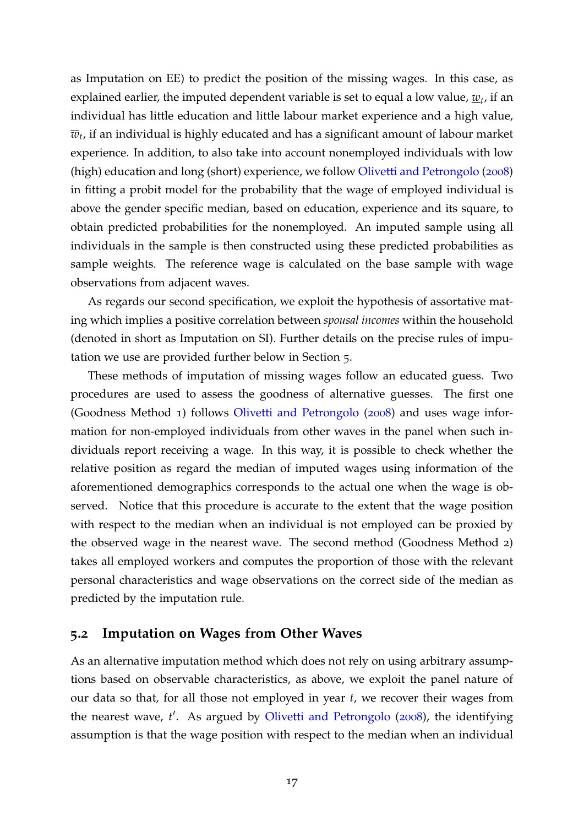as Imputation on EE) to predict the position of the missing wages. In this case, as explained earlier, the imputed dependent variable is set to equal a low value,  $\underline{w}_t$ , if an individual has little education and little labour market experience and a high value,  $\overline{w}_t$ , if an individual is highly educated and has a significant amount of labour market experience. In addition, to also take into account nonemployed individuals with low (high) education and long (short) experience, we follow [Olivetti and Petrongolo](#page-30-1) ([2008](#page-30-1)) in fitting a probit model for the probability that the wage of employed individual is above the gender specific median, based on education, experience and its square, to obtain predicted probabilities for the nonemployed. An imputed sample using all individuals in the sample is then constructed using these predicted probabilities as sample weights. The reference wage is calculated on the base sample with wage observations from adjacent waves.

As regards our second specification, we exploit the hypothesis of assortative mating which implies a positive correlation between *spousal incomes* within the household (denoted in short as Imputation on SI). Further details on the precise rules of imputation we use are provided further below in Section 5.

These methods of imputation of missing wages follow an educated guess. Two procedures are used to assess the goodness of alternative guesses. The first one (Goodness Method 1) follows [Olivetti and Petrongolo](#page-30-1) ([2008](#page-30-1)) and uses wage information for non-employed individuals from other waves in the panel when such individuals report receiving a wage. In this way, it is possible to check whether the relative position as regard the median of imputed wages using information of the aforementioned demographics corresponds to the actual one when the wage is observed. Notice that this procedure is accurate to the extent that the wage position with respect to the median when an individual is not employed can be proxied by the observed wage in the nearest wave. The second method (Goodness Method 2) takes all employed workers and computes the proportion of those with the relevant personal characteristics and wage observations on the correct side of the median as predicted by the imputation rule.

### **5.2 Imputation on Wages from Other Waves**

As an alternative imputation method which does not rely on using arbitrary assumptions based on observable characteristics, as above, we exploit the panel nature of our data so that, for all those not employed in year *t*, we recover their wages from the nearest wave, t'. As argued by [Olivetti and Petrongolo](#page-30-1) ([2008](#page-30-1)), the identifying assumption is that the wage position with respect to the median when an individual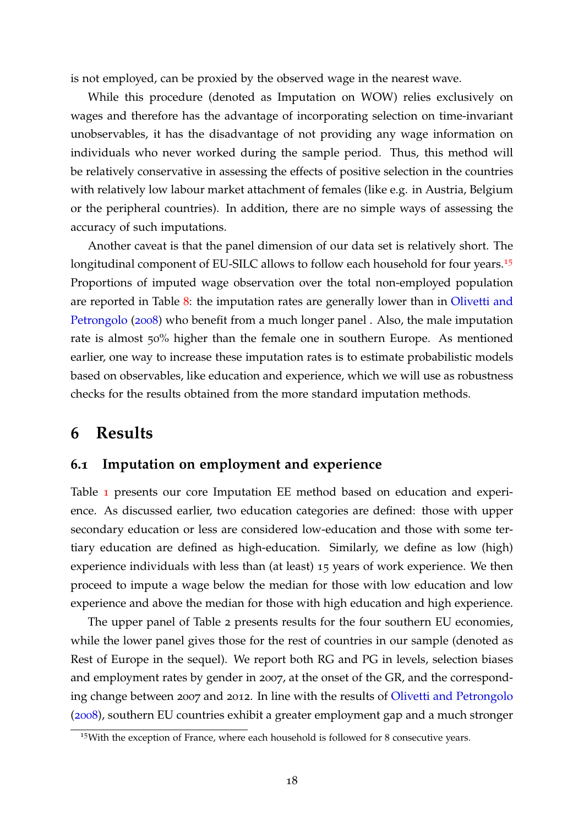is not employed, can be proxied by the observed wage in the nearest wave.

While this procedure (denoted as Imputation on WOW) relies exclusively on wages and therefore has the advantage of incorporating selection on time-invariant unobservables, it has the disadvantage of not providing any wage information on individuals who never worked during the sample period. Thus, this method will be relatively conservative in assessing the effects of positive selection in the countries with relatively low labour market attachment of females (like e.g. in Austria, Belgium or the peripheral countries). In addition, there are no simple ways of assessing the accuracy of such imputations.

Another caveat is that the panel dimension of our data set is relatively short. The longitudinal component of EU-SILC allows to follow each household for four years.<sup>[15](#page-19-1)</sup> Proportions of imputed wage observation over the total non-employed population are reported in Table [8](#page-33-0): the imputation rates are generally lower than in [Olivetti and](#page-30-1) [Petrongolo](#page-30-1) ([2008](#page-30-1)) who benefit from a much longer panel . Also, the male imputation rate is almost 50% higher than the female one in southern Europe. As mentioned earlier, one way to increase these imputation rates is to estimate probabilistic models based on observables, like education and experience, which we will use as robustness checks for the results obtained from the more standard imputation methods.

### <span id="page-19-0"></span>**6 Results**

#### **6.1 Imputation on employment and experience**

Table [1](#page-20-0) presents our core Imputation EE method based on education and experience. As discussed earlier, two education categories are defined: those with upper secondary education or less are considered low-education and those with some tertiary education are defined as high-education. Similarly, we define as low (high) experience individuals with less than (at least) 15 years of work experience. We then proceed to impute a wage below the median for those with low education and low experience and above the median for those with high education and high experience.

The upper panel of Table 2 presents results for the four southern EU economies, while the lower panel gives those for the rest of countries in our sample (denoted as Rest of Europe in the sequel). We report both RG and PG in levels, selection biases and employment rates by gender in 2007, at the onset of the GR, and the corresponding change between 2007 and 2012. In line with the results of [Olivetti and Petrongolo](#page-30-1) ([2008](#page-30-1)), southern EU countries exhibit a greater employment gap and a much stronger

<span id="page-19-1"></span><sup>&</sup>lt;sup>15</sup>With the exception of France, where each household is followed for 8 consecutive years.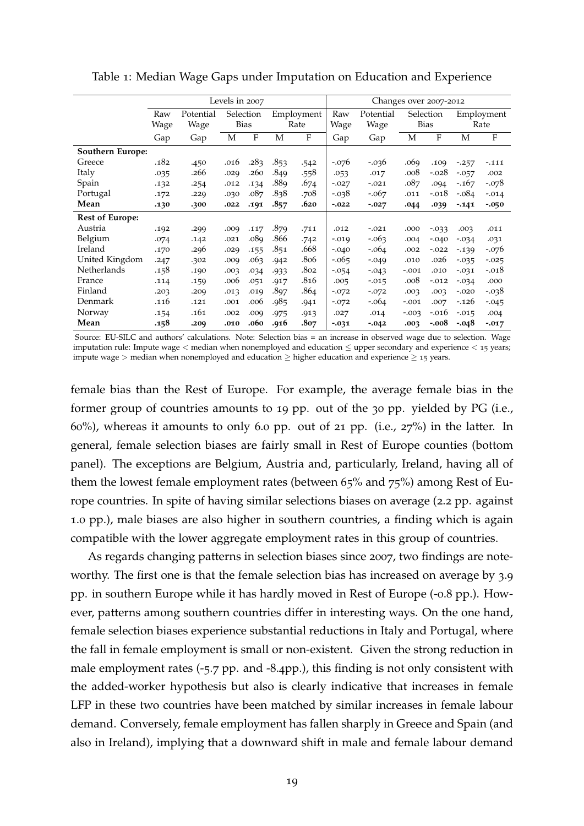|                        |      |           | Levels in 2007 |      |      |            |          | Changes over 2007-2012 |          |             |          |            |
|------------------------|------|-----------|----------------|------|------|------------|----------|------------------------|----------|-------------|----------|------------|
|                        | Raw  | Potential | Selection      |      |      | Employment | Raw      | Potential              |          | Selection   |          | Employment |
|                        | Wage | Wage      | <b>Bias</b>    |      |      | Rate       | Wage     | Wage                   |          | <b>Bias</b> |          | Rate       |
|                        | Gap  | Gap       | М              | F    | М    | F          | Gap      | Gap                    | М        | F           | М        | F          |
| Southern Europe:       |      |           |                |      |      |            |          |                        |          |             |          |            |
| Greece                 | .182 | .450      | .016           | .283 | .853 | .542       | $-.076$  | $-0.036$               | .069     | .109        | $-0.257$ | $-.111$    |
| Italy                  | .035 | .266      | .029           | .260 | .849 | .558       | .053     | .017                   | .008     | $-.028$     | $-0.057$ | .002       |
| Spain                  | .132 | .254      | .012           | .134 | .88q | .674       | $-.027$  | $-.021$                | .087     | .094        | $-167$   | $-.078$    |
| Portugal               | .172 | .229      | .030           | .087 | .838 | .708       | $-0.038$ | $-.067$                | .011     | $-.018$     | -.084    | $-.014$    |
| Mean                   | .130 | .300      | .022           | .191 | .857 | .620       | $-0.022$ | $-0.027$               | .044     | .039        | $-141$   | $-0.050$   |
| <b>Rest of Europe:</b> |      |           |                |      |      |            |          |                        |          |             |          |            |
| Austria                | .192 | .299      | .009           | .117 | .879 | .711       | .012     | $-.021$                | .000     | $-0.033$    | .003     | .011       |
| Belgium                | .074 | .142      | .021           | .089 | .866 | .742       | $-0.019$ | $-0.063$               | .004     | $-.040$     | $-0.034$ | .031       |
| Ireland                | .170 | .296      | .029           | .155 | .851 | .668       | $-.040$  | $-.064$                | .002     | $-.022$     | $-139$   | $-.076$    |
| United Kingdom         | .247 | .302      | .009           | .063 | .942 | .806       | $-0.065$ | $-.049$                | .010     | .026        | $-0.035$ | $-0.025$   |
| Netherlands            | .158 | .190      | .003           | .034 | .933 | .802       | $-0.054$ | $-0.043$               | $-.001$  | .010        | $-0.031$ | $-.018$    |
| France                 | .114 | .159      | .006           | .051 | .917 | .816       | .005     | $-0.015$               | .008     | $-.012$     | $-0.034$ | .000       |
| Finland                | .203 | .209      | .013           | .019 | .897 | .864       | $-.072$  | $-.072$                | .003     | .003        | $-.020$  | -.038      |
| Denmark                | .116 | .121      | .001           | .006 | .985 | .941       | $-.072$  | $-.064$                | $-.001$  | .007        | $-.126$  | $-0.045$   |
| Norway                 | .154 | .161      | .002           | .009 | .975 | .913       | .027     | .014                   | $-0.003$ | $-.016$     | $-015$   | .004       |
| Mean                   | .158 | .209      | .010           | .060 | .916 | .807       | $-0.031$ | $-0.042$               | .003     | $-.008$     | -.048    | $-0.017$   |

<span id="page-20-0"></span>Table 1: Median Wage Gaps under Imputation on Education and Experience

Source: EU-SILC and authors' calculations. Note: Selection bias = an increase in observed wage due to selection. Wage imputation rule: Impute wage < median when nonemployed and education ≤ upper secondary and experience < 15 years; impute wage > median when nonemployed and education  $\geq$  higher education and experience  $\geq$  15 years.

female bias than the Rest of Europe. For example, the average female bias in the former group of countries amounts to 19 pp. out of the 30 pp. yielded by PG (i.e.,  $60\%$ ), whereas it amounts to only 6.0 pp. out of 21 pp. (i.e.,  $27\%$ ) in the latter. In general, female selection biases are fairly small in Rest of Europe counties (bottom panel). The exceptions are Belgium, Austria and, particularly, Ireland, having all of them the lowest female employment rates (between 65% and 75%) among Rest of Europe countries. In spite of having similar selections biases on average (2.2 pp. against 1.0 pp.), male biases are also higher in southern countries, a finding which is again compatible with the lower aggregate employment rates in this group of countries.

As regards changing patterns in selection biases since 2007, two findings are noteworthy. The first one is that the female selection bias has increased on average by 3.9 pp. in southern Europe while it has hardly moved in Rest of Europe (-0.8 pp.). However, patterns among southern countries differ in interesting ways. On the one hand, female selection biases experience substantial reductions in Italy and Portugal, where the fall in female employment is small or non-existent. Given the strong reduction in male employment rates (-5.7 pp. and -8.4pp.), this finding is not only consistent with the added-worker hypothesis but also is clearly indicative that increases in female LFP in these two countries have been matched by similar increases in female labour demand. Conversely, female employment has fallen sharply in Greece and Spain (and also in Ireland), implying that a downward shift in male and female labour demand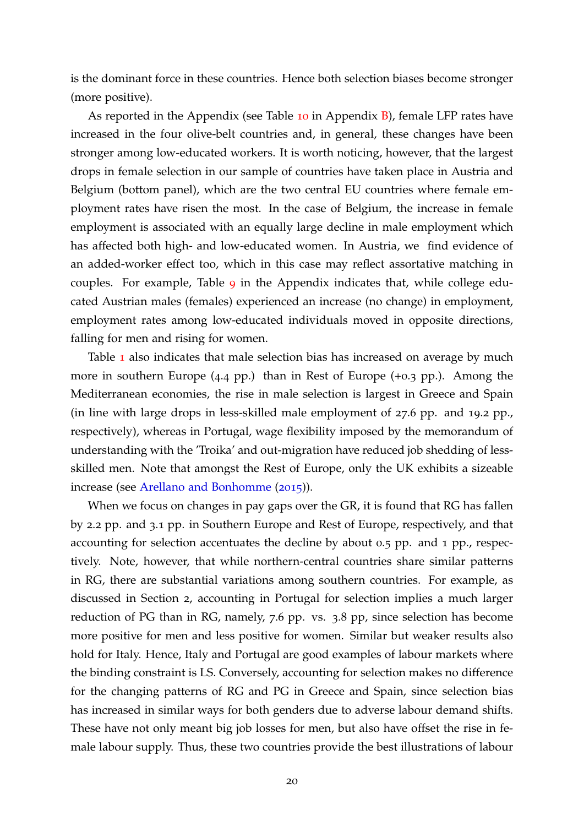is the dominant force in these countries. Hence both selection biases become stronger (more positive).

As reported in the Appendix (see Table [10](#page-35-0) in Appendix  $\overline{B}$ ), female LFP rates have increased in the four olive-belt countries and, in general, these changes have been stronger among low-educated workers. It is worth noticing, however, that the largest drops in female selection in our sample of countries have taken place in Austria and Belgium (bottom panel), which are the two central EU countries where female employment rates have risen the most. In the case of Belgium, the increase in female employment is associated with an equally large decline in male employment which has affected both high- and low-educated women. In Austria, we find evidence of an added-worker effect too, which in this case may reflect assortative matching in couples. For example, Table [9](#page-33-1) in the Appendix indicates that, while college educated Austrian males (females) experienced an increase (no change) in employment, employment rates among low-educated individuals moved in opposite directions, falling for men and rising for women.

Table [1](#page-20-0) also indicates that male selection bias has increased on average by much more in southern Europe (4.4 pp.) than in Rest of Europe (+0.3 pp.). Among the Mediterranean economies, the rise in male selection is largest in Greece and Spain (in line with large drops in less-skilled male employment of 27.6 pp. and 19.2 pp., respectively), whereas in Portugal, wage flexibility imposed by the memorandum of understanding with the 'Troika' and out-migration have reduced job shedding of lessskilled men. Note that amongst the Rest of Europe, only the UK exhibits a sizeable increase (see [Arellano and Bonhomme](#page-29-1) ([2015](#page-29-1))).

When we focus on changes in pay gaps over the GR, it is found that RG has fallen by 2.2 pp. and 3.1 pp. in Southern Europe and Rest of Europe, respectively, and that accounting for selection accentuates the decline by about 0.5 pp. and 1 pp., respectively. Note, however, that while northern-central countries share similar patterns in RG, there are substantial variations among southern countries. For example, as discussed in Section 2, accounting in Portugal for selection implies a much larger reduction of PG than in RG, namely, 7.6 pp. vs. 3.8 pp, since selection has become more positive for men and less positive for women. Similar but weaker results also hold for Italy. Hence, Italy and Portugal are good examples of labour markets where the binding constraint is LS. Conversely, accounting for selection makes no difference for the changing patterns of RG and PG in Greece and Spain, since selection bias has increased in similar ways for both genders due to adverse labour demand shifts. These have not only meant big job losses for men, but also have offset the rise in female labour supply. Thus, these two countries provide the best illustrations of labour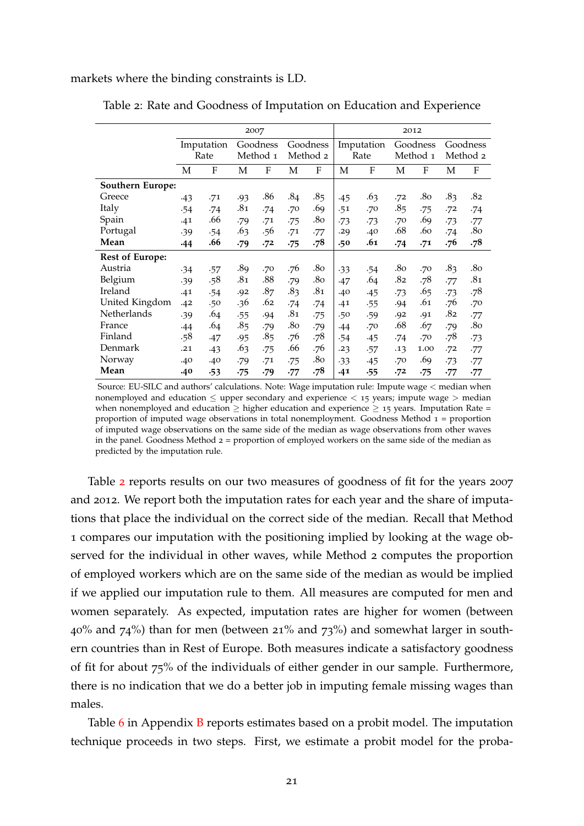<span id="page-22-0"></span>markets where the binding constraints is LD.

|                        |       | 2007       |            |                 |            |          |       |            |     | 2012     |       |                 |
|------------------------|-------|------------|------------|-----------------|------------|----------|-------|------------|-----|----------|-------|-----------------|
|                        |       | Imputation |            | Goodness        |            | Goodness |       | Imputation |     | Goodness |       | Goodness        |
|                        |       | Rate       |            | Method 1        |            | Method 2 |       | Rate       |     | Method 1 |       | Method 2        |
|                        | M     | F          | M          | F               | M          | F        | M     | F          | M   | F        | М     | F               |
| Southern Europe:       |       |            |            |                 |            |          |       |            |     |          |       |                 |
| Greece                 | -43   | .71        | .93        | .86             | .84        | .85      | $-45$ | .63        | .72 | .80      | .83   | .82             |
| Italy                  | .54   | .74        | .81        | .74             | .70        | .69      | .51   | .70        | .85 | .75      | .72   | .74             |
| Spain                  | .41   | .66        | .79        | .71             | .75        | .80      | $-73$ | $-73$      | .70 | .69      | $-73$ | -77             |
| Portugal               | .39   | .54        | .63        | .56             | .71        | .77      | .29   | .40        | .68 | .60      | .74   | .80             |
| Mean                   | $-44$ | .66        | .79        | .72             | $\cdot 75$ | .78      | .50   | .61        | .74 | .71      | .76   | .78             |
| <b>Rest of Europe:</b> |       |            |            |                 |            |          |       |            |     |          |       |                 |
| Austria                | $-34$ | .57        | .89        | .70             | .76        | .80      | $-33$ | .54        | .80 | .70      | .83   | .80             |
| Belgium                | .39   | .58        | .81        | .88             | .79        | .80      | .47   | .64        | .82 | .78      | .77   | .81             |
| Ireland                | .41   | .54        | .92        | .87             | .83        | .81      | .40   | $-45$      | -73 | .65      | $-73$ | .78             |
| United Kingdom         | .42   | .50        | .36        | .62             | .74        | .74      | .41   | .55        | .94 | .61      | .76   | .70             |
| Netherlands            | .39   | .64        | .55        | .94             | .81        | .75      | .50   | .59        | .92 | .91      | .82   | .77             |
| France                 | .44   | .64        | .85        | .79             | .80        | .79      | .44   | .70        | .68 | .67      | .79   | .8 <sub>o</sub> |
| Finland                | .58   | .47        | .95        | .8 <sub>5</sub> | .76        | .78      | .54   | $-45$      | .74 | .70      | .78   | $-73$           |
| Denmark                | .21   | $-43$      | .63        | .75             | .66        | .76      | .23   | .57        | .13 | 1.00     | .72   | .77             |
| Norway                 | .40   | .40        | .79        | .71             | .75        | .80      | $-33$ | .45        | .70 | .69      | $-73$ | -77             |
| Mean                   | .40   | $-53$      | $\cdot 75$ | .79             | .77        | .78      | .41   | .55        | .72 | $-75$    | .77   | -77             |

Table 2: Rate and Goodness of Imputation on Education and Experience

Source: EU-SILC and authors' calculations. Note: Wage imputation rule: Impute wage < median when nonemployed and education  $\leq$  upper secondary and experience  $<$  15 years; impute wage  $>$  median when nonemployed and education  $\geq$  higher education and experience  $\geq$  15 years. Imputation Rate = proportion of imputed wage observations in total nonemployment. Goodness Method  $1 =$  proportion of imputed wage observations on the same side of the median as wage observations from other waves in the panel. Goodness Method  $2 =$  proportion of employed workers on the same side of the median as predicted by the imputation rule.

Table [2](#page-22-0) reports results on our two measures of goodness of fit for the years 2007 and 2012. We report both the imputation rates for each year and the share of imputations that place the individual on the correct side of the median. Recall that Method 1 compares our imputation with the positioning implied by looking at the wage observed for the individual in other waves, while Method 2 computes the proportion of employed workers which are on the same side of the median as would be implied if we applied our imputation rule to them. All measures are computed for men and women separately. As expected, imputation rates are higher for women (between  $40\%$  and  $74\%$ ) than for men (between 21% and  $73\%$ ) and somewhat larger in southern countries than in Rest of Europe. Both measures indicate a satisfactory goodness of fit for about 75% of the individuals of either gender in our sample. Furthermore, there is no indication that we do a better job in imputing female missing wages than males.

Table [6](#page-32-0) in Appendix [B](#page-31-0) reports estimates based on a probit model. The imputation technique proceeds in two steps. First, we estimate a probit model for the proba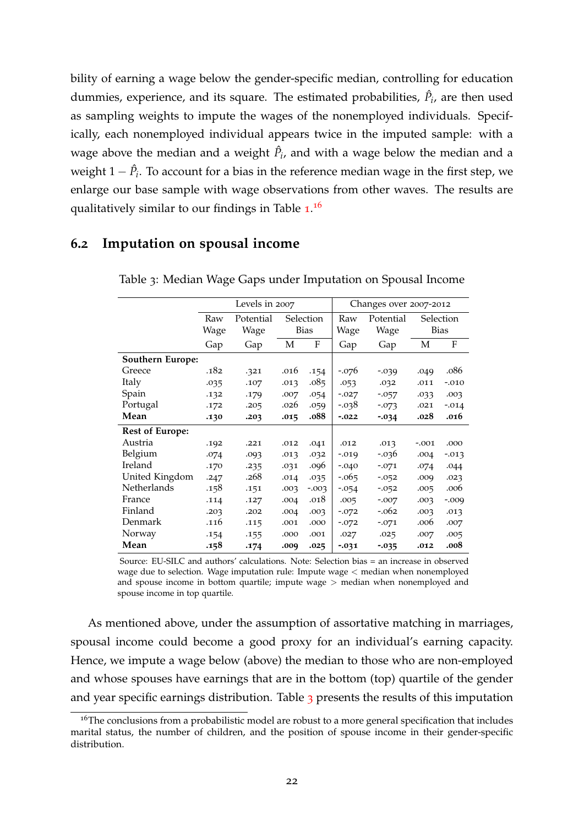bility of earning a wage below the gender-specific median, controlling for education dummies, experience, and its square. The estimated probabilities,  $\hat{P}_i$ , are then used as sampling weights to impute the wages of the nonemployed individuals. Specifically, each nonemployed individual appears twice in the imputed sample: with a wage above the median and a weight  $\hat{P}_i$ , and with a wage below the median and a weight 1 −  $\hat{P}_i$ . To account for a bias in the reference median wage in the first step, we enlarge our base sample with wage observations from other waves. The results are qualitatively similar to our findings in Table [1](#page-20-0).<sup>[16](#page-23-0)</sup>

#### <span id="page-23-1"></span>**6.2 Imputation on spousal income**

|                        |      | Levels in 2007 |      |             |          | Changes over 2007-2012 |         |              |
|------------------------|------|----------------|------|-------------|----------|------------------------|---------|--------------|
|                        | Raw  | Potential      |      | Selection   | Raw      | Potential              |         | Selection    |
|                        | Wage | Wage           |      | <b>Bias</b> | Wage     | Wage                   |         | <b>Bias</b>  |
|                        | Gap  | Gap            | M    | F           | Gap      | Gap                    | M       | $\mathbf{F}$ |
| Southern Europe:       |      |                |      |             |          |                        |         |              |
| Greece                 | .182 | .321           | .016 | .154        | $-.076$  | $-0.039$               | .049    | .086         |
| Italy                  | .035 | .107           | .013 | .085        | .053     | .032                   | .011    | $-.010$      |
| Spain                  | .132 | .179           | .007 | .054        | $-.027$  | $-0.057$               | .033    | .003         |
| Portugal               | .172 | .205           | .026 | .059        | -.038    | $-0.073$               | .021    | $-.014$      |
| Mean                   | .130 | .203           | .015 | .088        | $-0.022$ | $-0.34$                | .028    | .016         |
| <b>Rest of Europe:</b> |      |                |      |             |          |                        |         |              |
| Austria                | .192 | .221           | .012 | .041        | .012     | .013                   | $-.001$ | .000         |
| Belgium                | .074 | .093           | .013 | .032        | $-0.019$ | $-0.036$               | .004    | $-0.013$     |
| Ireland                | .170 | .235           | .031 | .096        | $-.040$  | $-.071$                | .074    | .044         |
| United Kingdom         | .247 | .268           | .014 | .035        | $-0.065$ | $-0.052$               | .009    | .023         |
| Netherlands            | .158 | .151           | .003 | $-0.003$    | $-0.054$ | $-0.052$               | .005    | .006         |
| France                 | .114 | .127           | .004 | .018        | .005     | $-.007$                | .003    | $-.009$      |
| Finland                | .203 | .202           | .004 | .003        | $-072$   | -.062                  | .003    | .013         |
| Denmark                | .116 | .115           | .001 | .000        | $-0.072$ | $-.071$                | .006    | .007         |
| Norway                 | .154 | .155           | .000 | .001        | .027     | .025                   | .007    | .005         |
| Mean                   | .158 | .174           | .009 | .025        | $-0.031$ | $-0.035$               | .012    | .008         |

Table 3: Median Wage Gaps under Imputation on Spousal Income

Source: EU-SILC and authors' calculations. Note: Selection bias = an increase in observed wage due to selection. Wage imputation rule: Impute wage < median when nonemployed and spouse income in bottom quartile; impute wage > median when nonemployed and spouse income in top quartile.

As mentioned above, under the assumption of assortative matching in marriages, spousal income could become a good proxy for an individual's earning capacity. Hence, we impute a wage below (above) the median to those who are non-employed and whose spouses have earnings that are in the bottom (top) quartile of the gender and year specific earnings distribution. Table [3](#page-23-1) presents the results of this imputation

<span id="page-23-0"></span><sup>&</sup>lt;sup>16</sup>The conclusions from a probabilistic model are robust to a more general specification that includes marital status, the number of children, and the position of spouse income in their gender-specific distribution.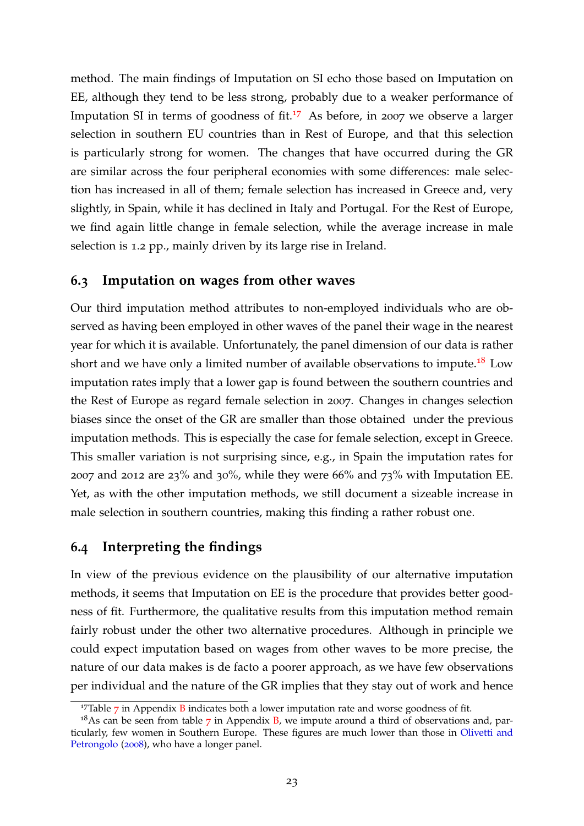method. The main findings of Imputation on SI echo those based on Imputation on EE, although they tend to be less strong, probably due to a weaker performance of Imputation SI in terms of goodness of fit.<sup>[17](#page-24-0)</sup> As before, in 2007 we observe a larger selection in southern EU countries than in Rest of Europe, and that this selection is particularly strong for women. The changes that have occurred during the GR are similar across the four peripheral economies with some differences: male selection has increased in all of them; female selection has increased in Greece and, very slightly, in Spain, while it has declined in Italy and Portugal. For the Rest of Europe, we find again little change in female selection, while the average increase in male selection is 1.2 pp., mainly driven by its large rise in Ireland.

#### **6.3 Imputation on wages from other waves**

Our third imputation method attributes to non-employed individuals who are observed as having been employed in other waves of the panel their wage in the nearest year for which it is available. Unfortunately, the panel dimension of our data is rather short and we have only a limited number of available observations to impute.<sup>[18](#page-24-1)</sup> Low imputation rates imply that a lower gap is found between the southern countries and the Rest of Europe as regard female selection in 2007. Changes in changes selection biases since the onset of the GR are smaller than those obtained under the previous imputation methods. This is especially the case for female selection, except in Greece. This smaller variation is not surprising since, e.g., in Spain the imputation rates for 2007 and 2012 are 23% and 30%, while they were 66% and 73% with Imputation EE. Yet, as with the other imputation methods, we still document a sizeable increase in male selection in southern countries, making this finding a rather robust one.

### **6.4 Interpreting the findings**

In view of the previous evidence on the plausibility of our alternative imputation methods, it seems that Imputation on EE is the procedure that provides better goodness of fit. Furthermore, the qualitative results from this imputation method remain fairly robust under the other two alternative procedures. Although in principle we could expect imputation based on wages from other waves to be more precise, the nature of our data makes is de facto a poorer approach, as we have few observations per individual and the nature of the GR implies that they stay out of work and hence

<span id="page-24-1"></span><span id="page-24-0"></span> $17$  $17$ Table  $7$  in Appendix [B](#page-31-0) indicates both a lower imputation rate and worse goodness of fit.

 $18$ As can be seen from table [7](#page-32-1) in Appendix [B,](#page-31-0) we impute around a third of observations and, particularly, few women in Southern Europe. These figures are much lower than those in [Olivetti and](#page-30-1) [Petrongolo](#page-30-1) ([2008](#page-30-1)), who have a longer panel.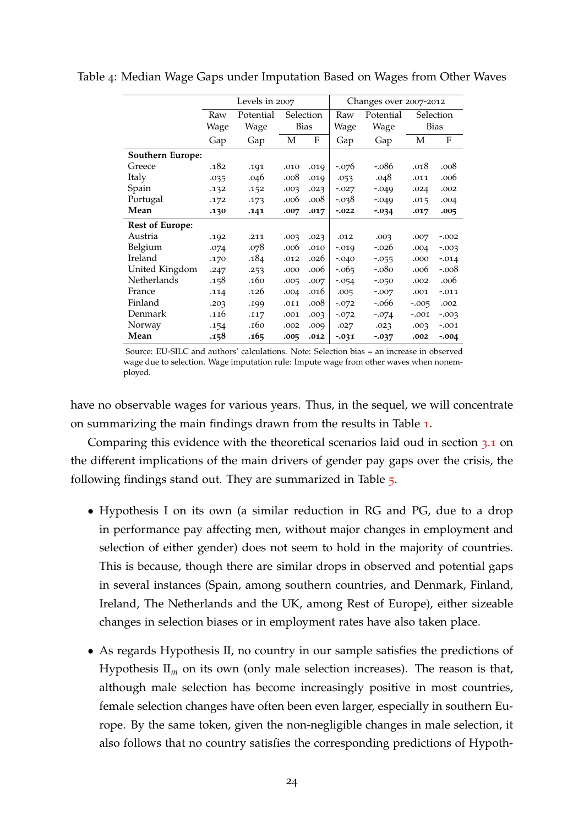|                         |      | Levels in 2007 |      |             |          | Changes over 2007-2012 |          |             |
|-------------------------|------|----------------|------|-------------|----------|------------------------|----------|-------------|
|                         | Raw  | Potential      |      | Selection   | Raw      | Potential              |          | Selection   |
|                         | Wage | Wage           |      | <b>Bias</b> | Wage     | Wage                   |          | <b>Bias</b> |
|                         | Gap  | Gap            | М    | F           | Gap      | Gap                    | М        | F           |
| <b>Southern Europe:</b> |      |                |      |             |          |                        |          |             |
| Greece                  | .182 | .191           | .010 | .019        | $-.076$  | $-.086$                | .018     | .008        |
| Italy                   | .035 | .046           | .008 | .019        | .053     | .048                   | .011     | .006        |
| Spain                   | .132 | .152           | .003 | .023        | $-.027$  | $-.049$                | .024     | .002        |
| Portugal                | .172 | .173           | .006 | .008        | $-0.038$ | $-.049$                | .015     | .004        |
| Mean                    | .130 | .141           | .007 | .017        | $-0.022$ | $-0.034$               | .017     | .005        |
| <b>Rest of Europe:</b>  |      |                |      |             |          |                        |          |             |
| Austria                 | .192 | .211           | .003 | .023        | .012     | .003                   | .007     | $-.002$     |
| Belgium                 | .074 | .078           | .006 | .010        | $-0.019$ | $-.026$                | .004     | $-0.003$    |
| Ireland                 | .170 | .184           | .012 | .026        | $-.040$  | $-0.055$               | .000     | $-.014$     |
| United Kingdom          | .247 | .253           | .000 | .006        | $-0.065$ | $-.080$                | .006     | $-.008$     |
| Netherlands             | .158 | .160           | .005 | .007        | $-0.054$ | $-0.050$               | .002     | .006        |
| France                  | .114 | .126           | .004 | .016        | .005     | $-.007$                | .001     | $-.011$     |
| Finland                 | .203 | .199           | .011 | .008        | $-.072$  | -.066                  | $-0.005$ | .002        |
| Denmark                 | .116 | .117           | .001 | .003        | $-.072$  | $-.074$                | $-.001$  | $-.003$     |
| Norway                  | .154 | .160           | .002 | .009        | .027     | .023                   | .003     | $-.001$     |
| Mean                    | .158 | .165           | .005 | .012        | $-0.031$ | $-0.037$               | .002     | $-.004$     |

Table 4: Median Wage Gaps under Imputation Based on Wages from Other Waves

Source: EU-SILC and authors' calculations. Note: Selection bias = an increase in observed wage due to selection. Wage imputation rule: Impute wage from other waves when nonemployed.

have no observable wages for various years. Thus, in the sequel, we will concentrate on summarizing the main findings drawn from the results in Table [1](#page-20-0).

Comparing this evidence with the theoretical scenarios laid oud in section [3](#page-11-2).1 on the different implications of the main drivers of gender pay gaps over the crisis, the following findings stand out. They are summarized in Table [5](#page-26-0).

- Hypothesis I on its own (a similar reduction in RG and PG, due to a drop in performance pay affecting men, without major changes in employment and selection of either gender) does not seem to hold in the majority of countries. This is because, though there are similar drops in observed and potential gaps in several instances (Spain, among southern countries, and Denmark, Finland, Ireland, The Netherlands and the UK, among Rest of Europe), either sizeable changes in selection biases or in employment rates have also taken place.
- As regards Hypothesis II, no country in our sample satisfies the predictions of Hypothesis  $II_m$  on its own (only male selection increases). The reason is that, although male selection has become increasingly positive in most countries, female selection changes have often been even larger, especially in southern Europe. By the same token, given the non-negligible changes in male selection, it also follows that no country satisfies the corresponding predictions of Hypoth-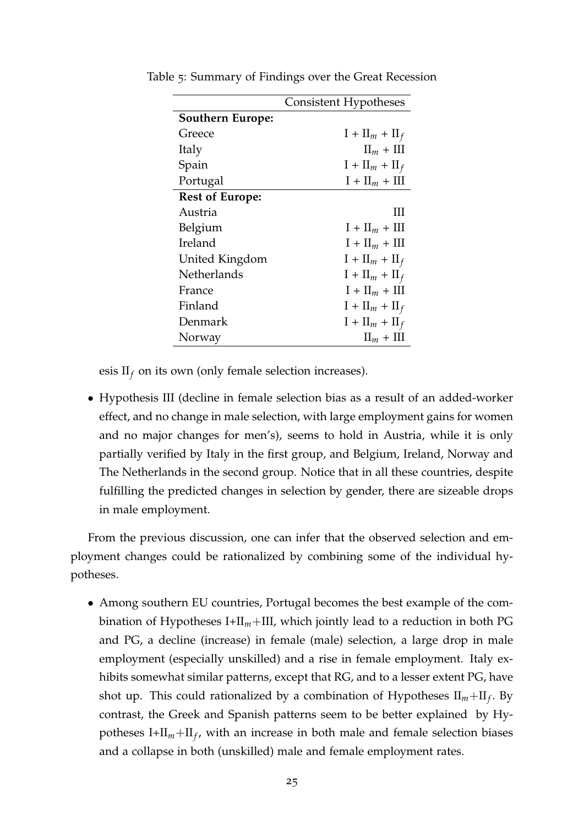|                         | Consistent Hypotheses      |
|-------------------------|----------------------------|
| <b>Southern Europe:</b> |                            |
| Greece                  | $I + II_m + II_f$          |
| Italy                   | $\text{II}_m + \text{III}$ |
| Spain                   | $I + II_m + II_f$          |
| Portugal                | $I + II_m + III$           |
| <b>Rest of Europe:</b>  |                            |
| Austria                 | Ш                          |
| Belgium                 | $I + II_m + III$           |
| Ireland                 | $I + II_m + III$           |
| United Kingdom          | $I + II_m + II_f$          |
| Netherlands             | $I + II_m + II_f$          |
| France                  | $I + II_m + III$           |
| Finland                 | $I + II_m + II_f$          |
| Denmark                 | $I + II_m + II_f$          |
| Norway                  | $\text{II}_m + \text{III}$ |

<span id="page-26-0"></span>Table 5: Summary of Findings over the Great Recession

esis  $II_f$  on its own (only female selection increases).

• Hypothesis III (decline in female selection bias as a result of an added-worker effect, and no change in male selection, with large employment gains for women and no major changes for men's), seems to hold in Austria, while it is only partially verified by Italy in the first group, and Belgium, Ireland, Norway and The Netherlands in the second group. Notice that in all these countries, despite fulfilling the predicted changes in selection by gender, there are sizeable drops in male employment.

From the previous discussion, one can infer that the observed selection and employment changes could be rationalized by combining some of the individual hypotheses.

• Among southern EU countries, Portugal becomes the best example of the combination of Hypotheses I+II*m*+III, which jointly lead to a reduction in both PG and PG, a decline (increase) in female (male) selection, a large drop in male employment (especially unskilled) and a rise in female employment. Italy exhibits somewhat similar patterns, except that RG, and to a lesser extent PG, have shot up. This could rationalized by a combination of Hypotheses II*m*+II*<sup>f</sup>* . By contrast, the Greek and Spanish patterns seem to be better explained by Hypotheses I+II*m*+II*<sup>f</sup>* , with an increase in both male and female selection biases and a collapse in both (unskilled) male and female employment rates.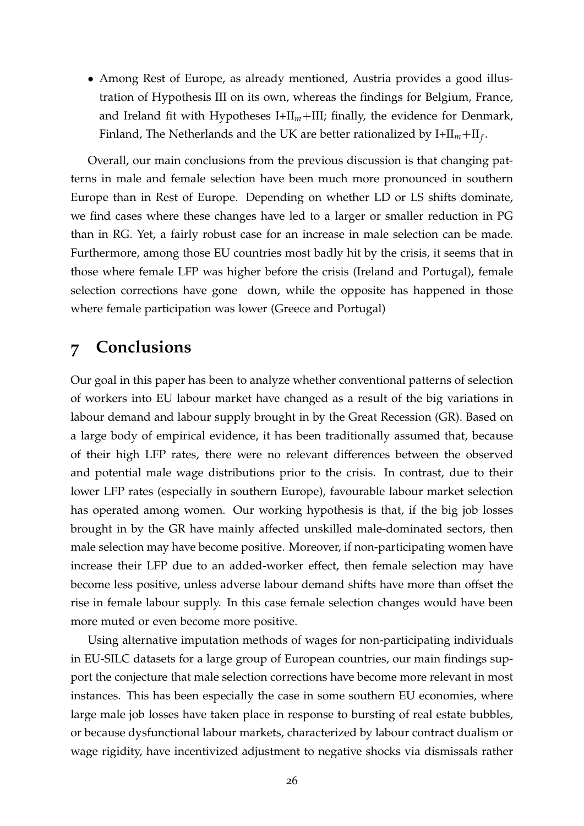• Among Rest of Europe, as already mentioned, Austria provides a good illustration of Hypothesis III on its own, whereas the findings for Belgium, France, and Ireland fit with Hypotheses I+II<sub>m</sub>+III; finally, the evidence for Denmark, Finland, The Netherlands and the UK are better rationalized by  $I + II_m + II_f$ .

Overall, our main conclusions from the previous discussion is that changing patterns in male and female selection have been much more pronounced in southern Europe than in Rest of Europe. Depending on whether LD or LS shifts dominate, we find cases where these changes have led to a larger or smaller reduction in PG than in RG. Yet, a fairly robust case for an increase in male selection can be made. Furthermore, among those EU countries most badly hit by the crisis, it seems that in those where female LFP was higher before the crisis (Ireland and Portugal), female selection corrections have gone down, while the opposite has happened in those where female participation was lower (Greece and Portugal)

# <span id="page-27-0"></span>**7 Conclusions**

Our goal in this paper has been to analyze whether conventional patterns of selection of workers into EU labour market have changed as a result of the big variations in labour demand and labour supply brought in by the Great Recession (GR). Based on a large body of empirical evidence, it has been traditionally assumed that, because of their high LFP rates, there were no relevant differences between the observed and potential male wage distributions prior to the crisis. In contrast, due to their lower LFP rates (especially in southern Europe), favourable labour market selection has operated among women. Our working hypothesis is that, if the big job losses brought in by the GR have mainly affected unskilled male-dominated sectors, then male selection may have become positive. Moreover, if non-participating women have increase their LFP due to an added-worker effect, then female selection may have become less positive, unless adverse labour demand shifts have more than offset the rise in female labour supply. In this case female selection changes would have been more muted or even become more positive.

Using alternative imputation methods of wages for non-participating individuals in EU-SILC datasets for a large group of European countries, our main findings support the conjecture that male selection corrections have become more relevant in most instances. This has been especially the case in some southern EU economies, where large male job losses have taken place in response to bursting of real estate bubbles, or because dysfunctional labour markets, characterized by labour contract dualism or wage rigidity, have incentivized adjustment to negative shocks via dismissals rather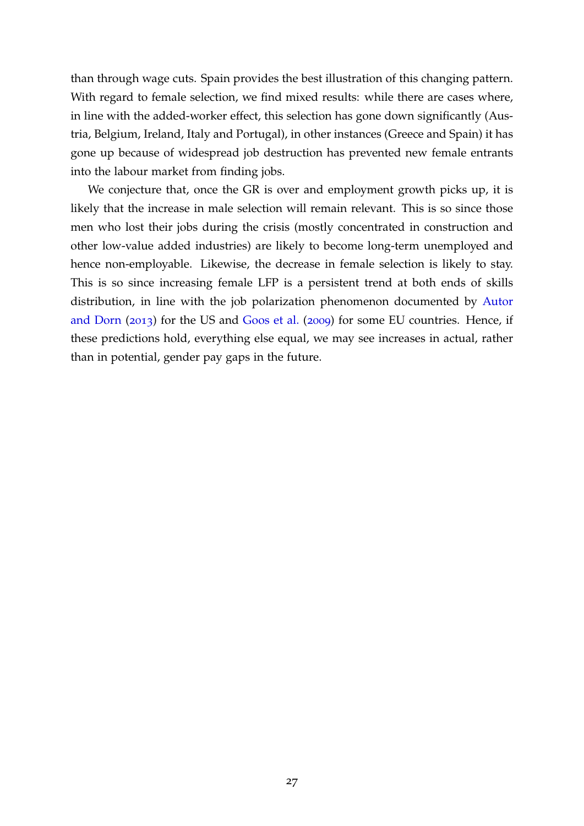than through wage cuts. Spain provides the best illustration of this changing pattern. With regard to female selection, we find mixed results: while there are cases where, in line with the added-worker effect, this selection has gone down significantly (Austria, Belgium, Ireland, Italy and Portugal), in other instances (Greece and Spain) it has gone up because of widespread job destruction has prevented new female entrants into the labour market from finding jobs.

We conjecture that, once the GR is over and employment growth picks up, it is likely that the increase in male selection will remain relevant. This is so since those men who lost their jobs during the crisis (mostly concentrated in construction and other low-value added industries) are likely to become long-term unemployed and hence non-employable. Likewise, the decrease in female selection is likely to stay. This is so since increasing female LFP is a persistent trend at both ends of skills distribution, in line with the job polarization phenomenon documented by [Autor](#page-29-12) [and Dorn](#page-29-12) ([2013](#page-29-12)) for the US and [Goos et al.](#page-29-13) ([2009](#page-29-13)) for some EU countries. Hence, if these predictions hold, everything else equal, we may see increases in actual, rather than in potential, gender pay gaps in the future.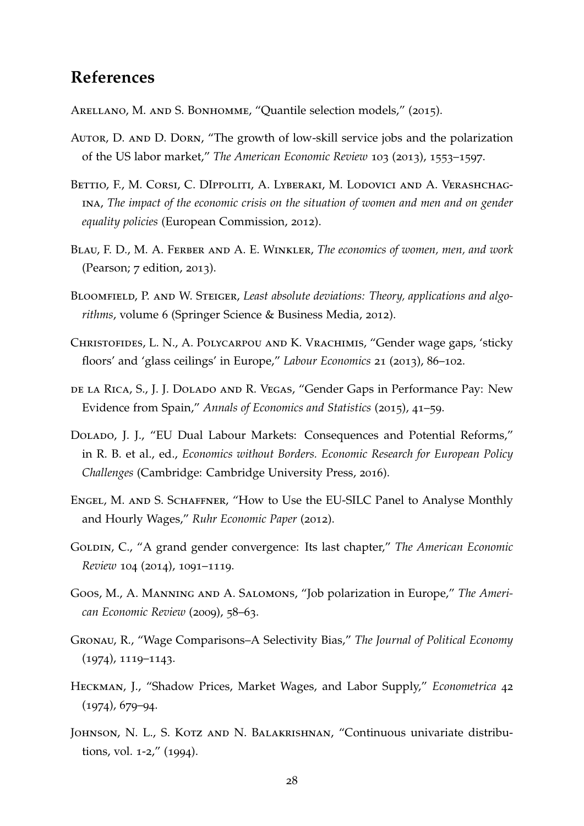# **References**

<span id="page-29-1"></span>ARELLANO, M. AND S. BONHOMME, "Quantile selection models," (2015).

- <span id="page-29-12"></span>Autor, D. and D. Dorn, "The growth of low-skill service jobs and the polarization of the US labor market," *The American Economic Review* 103 (2013), 1553–1597.
- <span id="page-29-0"></span>Bettio, F., M. Corsi, C. DIppoliti, A. Lyberaki, M. Lodovici and A. Verashchagina, *The impact of the economic crisis on the situation of women and men and on gender equality policies* (European Commission, 2012).
- <span id="page-29-2"></span>Blau, F. D., M. A. Ferber and A. E. Winkler, *The economics of women, men, and work* (Pearson; 7 edition, 2013).
- <span id="page-29-11"></span>BLOOMFIELD, P. AND W. STEIGER, *Least absolute deviations: Theory, applications and algorithms*, volume 6 (Springer Science & Business Media, 2012).
- <span id="page-29-9"></span>Christofides, L. N., A. Polycarpou and K. Vrachimis, "Gender wage gaps, 'sticky floors' and 'glass ceilings' in Europe," *Labour Economics* 21 (2013), 86–102.
- <span id="page-29-7"></span>de la Rica, S., J. J. Dolado and R. Vegas, "Gender Gaps in Performance Pay: New Evidence from Spain," *Annals of Economics and Statistics* (2015), 41–59.
- <span id="page-29-4"></span>Dolado, J. J., "EU Dual Labour Markets: Consequences and Potential Reforms," in R. B. et al., ed., *Economics without Borders. Economic Research for European Policy Challenges* (Cambridge: Cambridge University Press, 2016).
- <span id="page-29-10"></span>Engel, M. and S. Schaffner, "How to Use the EU-SILC Panel to Analyse Monthly and Hourly Wages," *Ruhr Economic Paper* (2012).
- <span id="page-29-3"></span>GOLDIN, C., "A grand gender convergence: Its last chapter," *The American Economic Review* 104 (2014), 1091–1119.
- <span id="page-29-13"></span>Goos, M., A. Manning and A. Salomons, "Job polarization in Europe," *The American Economic Review* (2009), 58–63.
- <span id="page-29-5"></span>Gronau, R., "Wage Comparisons–A Selectivity Bias," *The Journal of Political Economy* (1974), 1119–1143.
- <span id="page-29-6"></span>Heckman, J., "Shadow Prices, Market Wages, and Labor Supply," *Econometrica* 42 (1974), 679–94.
- <span id="page-29-8"></span>Johnson, N. L., S. Kotz and N. Balakrishnan, "Continuous univariate distributions, vol. 1-2," (1994).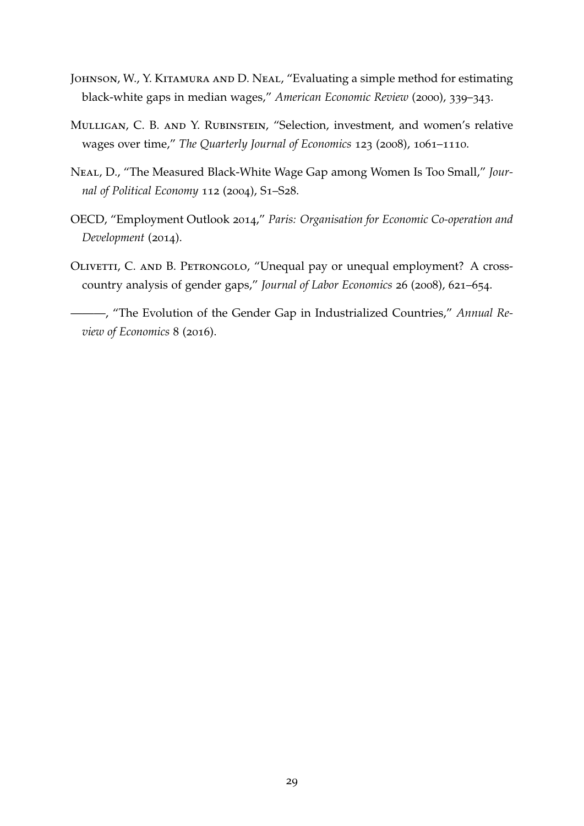- <span id="page-30-4"></span>Johnson, W., Y. Kitamura and D. Neal, "Evaluating a simple method for estimating black-white gaps in median wages," *American Economic Review* (2000), 339–343.
- <span id="page-30-2"></span>Mulligan, C. B. and Y. Rubinstein, "Selection, investment, and women's relative wages over time," *The Quarterly Journal of Economics* 123 (2008), 1061–1110.
- <span id="page-30-5"></span>Neal, D., "The Measured Black-White Wage Gap among Women Is Too Small," *Journal of Political Economy* 112 (2004), S1–S28.
- <span id="page-30-0"></span>OECD, "Employment Outlook 2014," *Paris: Organisation for Economic Co-operation and Development* (2014).
- <span id="page-30-1"></span>OLIVETTI, C. AND B. PETRONGOLO, "Unequal pay or unequal employment? A crosscountry analysis of gender gaps," *Journal of Labor Economics* 26 (2008), 621–654.

<span id="page-30-3"></span>———, "The Evolution of the Gender Gap in Industrialized Countries," *Annual Review of Economics* 8 (2016).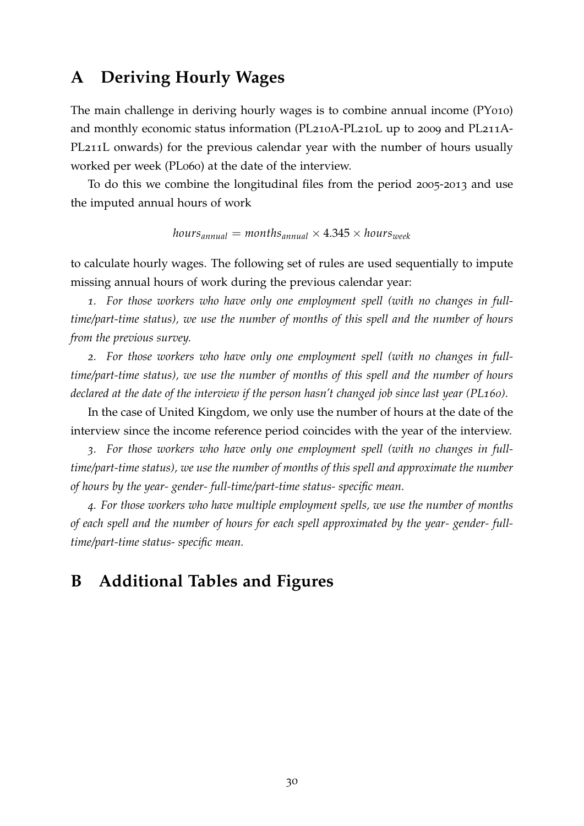## <span id="page-31-1"></span>**A Deriving Hourly Wages**

The main challenge in deriving hourly wages is to combine annual income (PY010) and monthly economic status information (PL210A-PL210L up to 2009 and PL211A-PL211L onwards) for the previous calendar year with the number of hours usually worked per week (PL060) at the date of the interview.

To do this we combine the longitudinal files from the period 2005-2013 and use the imputed annual hours of work

$$
hours_{annual} = months_{annual} \times 4.345 \times hours_{week}
$$

to calculate hourly wages. The following set of rules are used sequentially to impute missing annual hours of work during the previous calendar year:

*1. For those workers who have only one employment spell (with no changes in fulltime/part-time status), we use the number of months of this spell and the number of hours from the previous survey.*

*2. For those workers who have only one employment spell (with no changes in fulltime/part-time status), we use the number of months of this spell and the number of hours declared at the date of the interview if the person hasn't changed job since last year (PL160).*

In the case of United Kingdom, we only use the number of hours at the date of the interview since the income reference period coincides with the year of the interview.

*3. For those workers who have only one employment spell (with no changes in fulltime/part-time status), we use the number of months of this spell and approximate the number of hours by the year- gender- full-time/part-time status- specific mean.*

*4. For those workers who have multiple employment spells, we use the number of months of each spell and the number of hours for each spell approximated by the year- gender- fulltime/part-time status- specific mean.*

# <span id="page-31-0"></span>**B Additional Tables and Figures**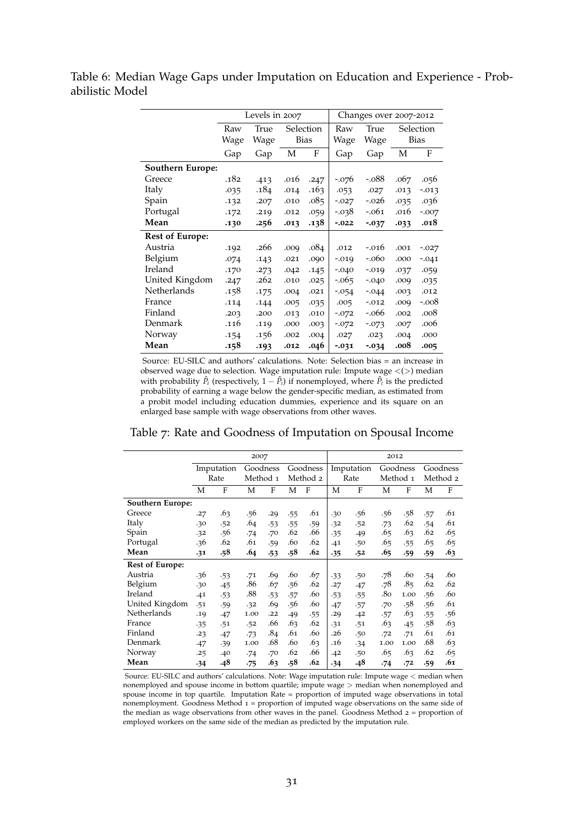<span id="page-32-0"></span>Table 6: Median Wage Gaps under Imputation on Education and Experience - Probabilistic Model

|                         |      | Levels in 2007 |             |           |          | Changes over 2007-2012 |      |             |
|-------------------------|------|----------------|-------------|-----------|----------|------------------------|------|-------------|
|                         | Raw  | True           |             | Selection | Raw      | True                   |      | Selection   |
|                         | Wage | Wage           | <b>Bias</b> |           | Wage     | Wage                   |      | <b>Bias</b> |
|                         | Gap  | Gap            | M           | F         | Gap      | Gap                    | M    | F           |
| <b>Southern Europe:</b> |      |                |             |           |          |                        |      |             |
| Greece                  | .182 | .413           | .016        | .247      | $-.076$  | $-.088$                | .067 | .056        |
| Italy                   | .035 | .184           | .014        | .163      | .053     | .027                   | .013 | $-0.013$    |
| Spain                   | .132 | .207           | .010        | .085      | $-.027$  | $-.026$                | .035 | .036        |
| Portugal                | .172 | .219           | .012        | .059      | $-.038$  | $-.061$                | .016 | $-.007$     |
| Mean                    | .130 | .256           | .013        | .138      | $-.022$  | $-0.037$               | .033 | .018        |
| <b>Rest of Europe:</b>  |      |                |             |           |          |                        |      |             |
| Austria                 | .192 | .266           | .009        | .084      | .012     | $-.016$                | .001 | $-.027$     |
| Belgium                 | .074 | .143           | .021        | .090      | $-.019$  | $-.060$                | .000 | $-.041$     |
| Ireland                 | .170 | .273           | .042        | .145      | $-.040$  | $-.019$                | .037 | .059        |
| United Kingdom          | .247 | .262           | .010        | .025      | $-0.065$ | $-.040$                | .009 | .035        |
| Netherlands             | .158 | .175           | .004        | .021      | $-0.054$ | $-.044$                | .003 | .012        |
| France                  | .114 | .144           | .005        | .035      | .005     | $-.012$                | .009 | $-.008$     |
| Finland                 | .203 | .200           | .013        | .010      | $-.072$  | -.066                  | .002 | .008        |
| Denmark                 | .116 | .119           | .000        | .003      | $-.072$  | $-0.073$               | .007 | .006        |
| Norway                  | .154 | .156           | .002        | .004      | .027     | .023                   | .004 | .000        |
| Mean                    | .158 | .193           | .012        | .046      | $-0.031$ | $-0.34$                | .008 | .005        |

Source: EU-SILC and authors' calculations. Note: Selection bias = an increase in observed wage due to selection. Wage imputation rule: Impute wage <(>) median with probability  $\hat{P}_i$  (respectively,  $1 - \hat{P}_i$ ) if nonemployed, where  $\hat{P}_i$  is the predicted probability of earning a wage below the gender-specific median, as estimated from a probit model including education dummies, experience and its square on an enlarged base sample with wage observations from other waves.

<span id="page-32-1"></span>

|  | Table 7: Rate and Goodness of Imputation on Spousal Income |  |  |  |
|--|------------------------------------------------------------|--|--|--|
|  |                                                            |  |  |  |

|                        |       | 2007       |          |       |     |          | 2012  |            |          |      |          |          |
|------------------------|-------|------------|----------|-------|-----|----------|-------|------------|----------|------|----------|----------|
|                        |       | Imputation | Goodness |       |     | Goodness |       | Imputation | Goodness |      |          | Goodness |
|                        |       | Rate       | Method 1 |       |     | Method 2 |       | Rate       | Method 1 |      | Method 2 |          |
|                        | М     | F          | М        | F     | М   | F        | М     | F          | М        | F    | М        | F        |
| Southern Europe:       |       |            |          |       |     |          |       |            |          |      |          |          |
| Greece                 | .27   | .63        | .56      | .29   | .55 | .61      | .30   | .56        | .56      | .58  | .57      | .61      |
| Italy                  | .30   | .52        | .64      | .53   | .55 | .59      | .32   | .52        | $-73$    | .62  | .54      | .61      |
| Spain                  | .32   | .56        | .74      | .70   | .62 | .66      | .35   | .49        | .65      | .63  | .62      | .65      |
| Portugal               | .36   | .62        | .61      | .59   | .60 | .62      | .41   | .50        | .65      | .55  | .65      | .65      |
| Mean                   | .31   | .58        | .64      | $-53$ | .58 | .62      | $-35$ | .52        | .65      | .59  | .59      | .63      |
| <b>Rest of Europe:</b> |       |            |          |       |     |          |       |            |          |      |          |          |
| Austria                | .36   | $-53$      | .71      | .69   | .60 | .67      | .33   | .50        | .78      | .60  | .54      | .60      |
| Belgium                | .30   | $-45$      | .86      | .67   | .56 | .62      | .27   | .47        | .78      | .85  | .62      | .62      |
| Ireland                | .41   | $-53$      | .88      | .53   | .57 | .60      | .53   | .55        | .80      | 1.00 | .56      | .60      |
| United Kingdom         | .51   | .59        | .32      | .69   | .56 | .60      | .47   | .57        | .70      | .58  | .56      | .61      |
| Netherlands            | .19   | .47        | 1.00     | .22   | .49 | .55      | .29   | .42        | .57      | .63  | .55      | .56      |
| France                 | $-35$ | .51        | .52      | .66   | .63 | .62      | .31   | .51        | .63      | .45  | .58      | .63      |
| Finland                | .23   | .47        | $-73$    | .84   | .61 | .60      | .26   | .50        | .72      | .71  | .61      | .61      |
| Denmark                | .47   | .39        | 1.00     | .68   | .60 | .63      | .16   | .34        | 1.00     | 1.00 | .68      | .63      |
| Norway                 | .25   | .40        | .74      | .70   | .62 | .66      | .42   | .50        | .65      | .63  | .62      | .65      |
| Mean                   | .34   | .48        | $-75$    | .63   | .58 | .62      | $-34$ | .48        | $-74$    | .72  | .59      | .61      |

Source: EU-SILC and authors' calculations. Note: Wage imputation rule: Impute wage < median when nonemployed and spouse income in bottom quartile; impute wage > median when nonemployed and spouse income in top quartile. Imputation Rate = proportion of imputed wage observations in total nonemployment. Goodness Method <sup>1</sup> = proportion of imputed wage observations on the same side of the median as wage observations from other waves in the panel. Goodness Method <sup>2</sup> = proportion of employed workers on the same side of the median as predicted by the imputation rule.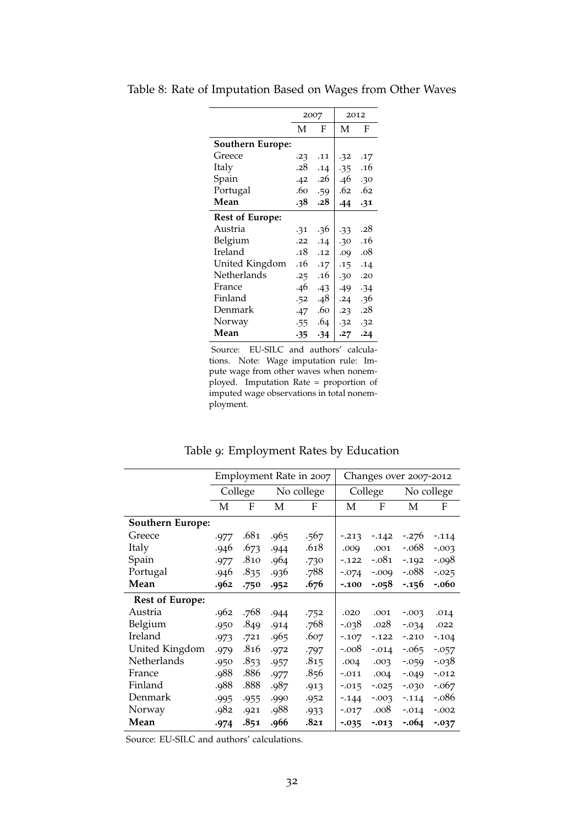|                         |     | 2007  |       | 2012 |
|-------------------------|-----|-------|-------|------|
|                         | M   | F     | M     | F    |
| <b>Southern Europe:</b> |     |       |       |      |
| Greece                  | .23 | .11   | .32   | .17  |
| Italy                   | .28 | .14   | $-35$ | .16  |
| Spain                   | .42 | .26   | .46   | .30  |
| Portugal                | .60 | .59   | .62   | .62  |
| Mean                    | .38 | .28   | .44   | .31  |
| <b>Rest of Europe:</b>  |     |       |       |      |
| Austria                 | .31 | .36   | $-33$ | .28  |
| Belgium                 | .22 | .14   | .30   | .16  |
| Ireland                 | .18 | .12   | .09   | .08  |
| United Kingdom          | .16 | .17   | .15   | .14  |
| Netherlands             | .25 | .16   | .30   | .20  |
| France                  | .46 | $-43$ | .49   | .34  |
| Finland                 | .52 | .48   | .24   | .36  |
| Denmark                 | .47 | .60   | .23   | .28  |
| Norway                  | .55 | .64   | .32   | .32  |
| Mean                    | .35 | .34   | .27   | .24  |

<span id="page-33-0"></span>Table 8: Rate of Imputation Based on Wages from Other Waves

Source: EU-SILC and authors' calculations. Note: Wage imputation rule: Impute wage from other waves when nonemployed. Imputation Rate = proportion of imputed wage observations in total nonemployment.

|  | Table 9: Employment Rates by Education |  |  |
|--|----------------------------------------|--|--|
|--|----------------------------------------|--|--|

<span id="page-33-1"></span>

|                         |      |         |      | Employment Rate in 2007 |          | Changes over 2007-2012 |          |            |
|-------------------------|------|---------|------|-------------------------|----------|------------------------|----------|------------|
|                         |      | College |      | No college              |          | College                |          | No college |
|                         | M    | F       | M    | F                       | M        | F                      | М        | F          |
| <b>Southern Europe:</b> |      |         |      |                         |          |                        |          |            |
| Greece                  | .977 | .681    | .965 | .567                    | $-0.213$ | $-142$                 | $-0.276$ | $-.114$    |
| Italy                   | .946 | .673    | .944 | .618                    | .009     | .001                   | -.068    | $-0.003$   |
| Spain                   | .977 | .810    | .964 | .730                    | $-122$   | $-.081$                | $-192$   | $-.098$    |
| Portugal                | .946 | .835    | .936 | .788                    | $-.074$  | $-.009$                | $-.088$  | $-0.025$   |
| Mean                    | .962 | .750    | .952 | .676                    | $-100$   | $-0.058$               | $-156$   | $-.060$    |
| <b>Rest of Europe:</b>  |      |         |      |                         |          |                        |          |            |
| Austria                 | .962 | .768    | .944 | .752                    | .020     | .001                   | $-0.003$ | .014       |
| Belgium                 | .950 | .849    | .914 | .768                    | $-0.038$ | .028                   | $-0.034$ | .022       |
| <b>Ireland</b>          | .973 | .721    | .965 | .607                    | $-107$   | $-0.122$               | $-.210$  | $-.104$    |
| United Kingdom          | .979 | .816    | .972 | $-797$                  | $-.008$  | $-.014$                | $-0.065$ | $-0.057$   |
| Netherlands             | .950 | .853    | .957 | .815                    | .004     | .003                   | $-0.059$ | $-0.038$   |
| France                  | .988 | .886    | .977 | .856                    | $-.011$  | .004                   | $-0.049$ | $-.012$    |
| Finland                 | .988 | .888    | .987 | .913                    | $-0.015$ | $-0.025$               | $-0.030$ | $-.067$    |
| Denmark                 | .995 | .955    | .990 | .952                    | $-144$   | $-.003$                | $-.114$  | $-.086$    |
| Norway                  | .982 | .921    | .988 | .933                    | $-0.017$ | .008                   | $-.014$  | $-.002$    |
| Mean                    | .974 | .851    | .966 | .821                    | $-0.035$ | $-0.013$               | $-.064$  | $-0.037$   |

Source: EU-SILC and authors' calculations.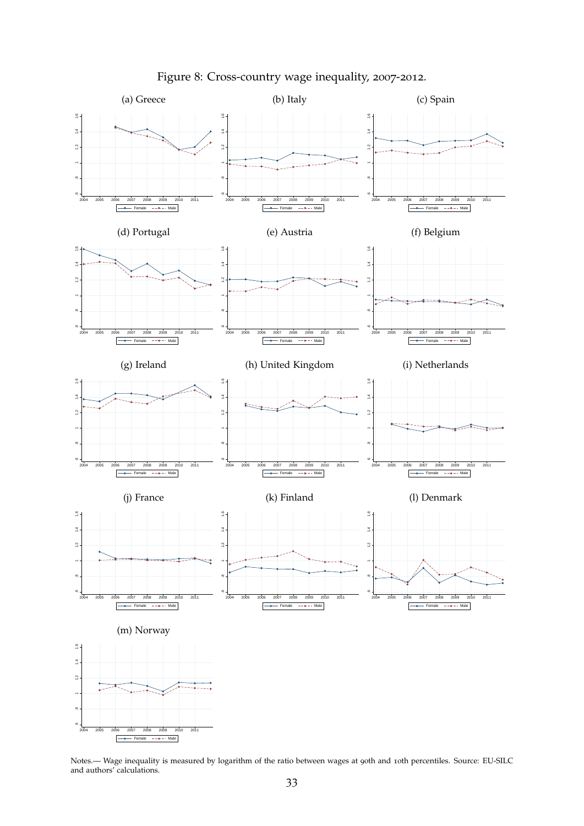<span id="page-34-0"></span>

Figure 8: Cross-country wage inequality, 2007-2012.

Notes.— Wage inequality is measured by logarithm of the ratio between wages at 90th and 10th percentiles. Source: EU-SILC and authors' calculations.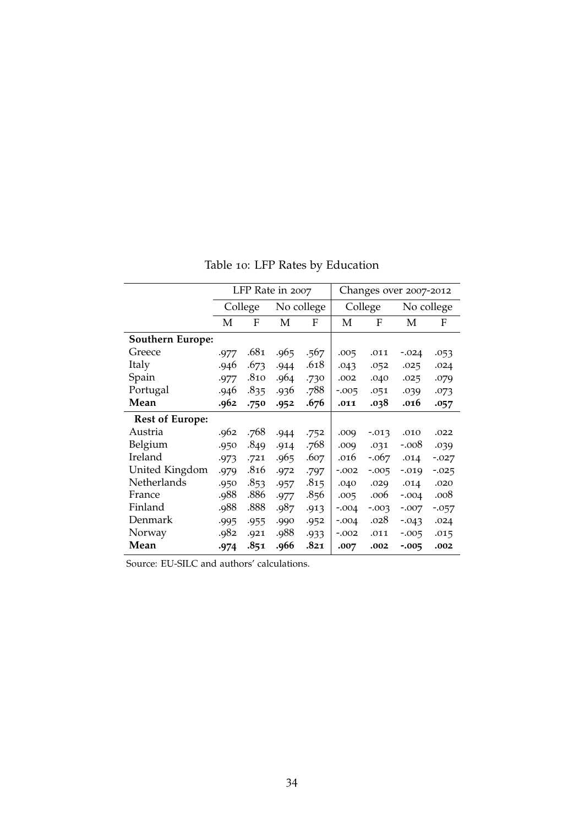<span id="page-35-0"></span>

|                         |      |         | LFP Rate in 2007 |            |         |          | Changes over 2007-2012 |          |
|-------------------------|------|---------|------------------|------------|---------|----------|------------------------|----------|
|                         |      | College |                  | No college |         | College  | No college             |          |
|                         | M    | F       | M                | F          | M       | F        | M                      | F        |
| <b>Southern Europe:</b> |      |         |                  |            |         |          |                        |          |
| Greece                  | .977 | .681    | .965             | .567       | .005    | .011     | $-.024$                | .053     |
| Italy                   | .946 | .673    | .944             | .618       | .043    | .052     | .025                   | .024     |
| Spain                   | .977 | .810    | .964             | .730       | .002    | .040     | .025                   | .079     |
| Portugal                | .946 | .835    | .936             | .788       | $-.005$ | .051     | .039                   | .073     |
| Mean                    | .962 | .750    | .952             | .676       | .011    | .038     | .016                   | .057     |
| <b>Rest of Europe:</b>  |      |         |                  |            |         |          |                        |          |
| Austria                 | .962 | .768    | .944             | .752       | .009    | $-0.013$ | .010                   | .022     |
| Belgium                 | .950 | .849    | .914             | .768       | .009    | .031     | $-.008$                | .039     |
| Ireland                 | .973 | .721    | .965             | .607       | .016    | $-.067$  | .014                   | $-0.027$ |
| United Kingdom          | .979 | .816    | .972             | .797       | $-.002$ | $-0.005$ | $-0.019$               | $-0.025$ |
| Netherlands             | .950 | .853    | .957             | .815       | .040    | .029     | .014                   | .020     |
| France                  | .988 | .886    | .977             | .856       | .005    | .006     | $-.004$                | .008     |
| Finland                 | .988 | .888    | .987             | .913       | $-.004$ | $-0.003$ | $-.007$                | $-0.057$ |
| Denmark                 | .995 | .955    | .990             | .952       | $-.004$ | .028     | $-0.043$               | .024     |
| Norway                  | .982 | .921    | .988             | .933       | $-.002$ | .011     | $-0.005$               | .015     |
| Mean                    | .974 | .851    | .966             | .821       | .007    | .002     | $-0.005$               | .002     |

Table 10: LFP Rates by Education

Source: EU-SILC and authors' calculations.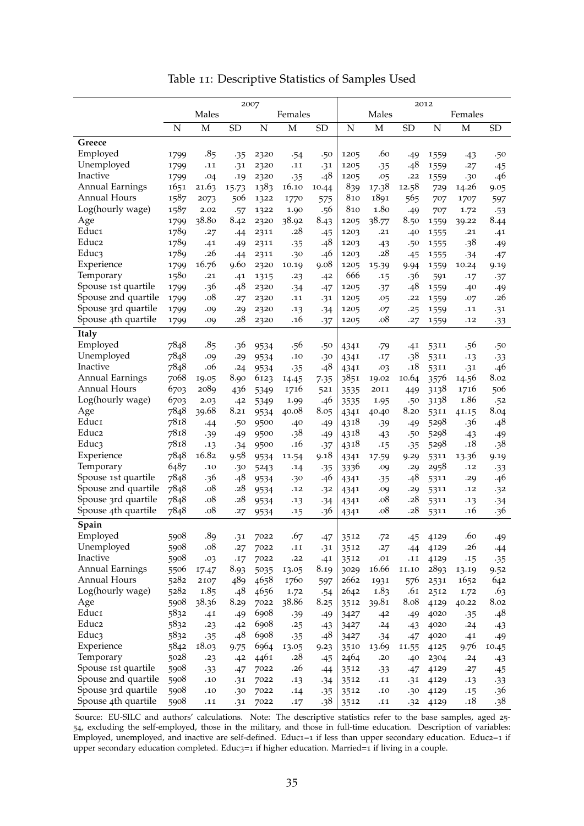|                     | 2007 |                 |           |      |             |           |             | 2012  |           |             |             |            |  |  |
|---------------------|------|-----------------|-----------|------|-------------|-----------|-------------|-------|-----------|-------------|-------------|------------|--|--|
|                     |      | Males           |           |      | Females     |           |             | Males |           | Females     |             |            |  |  |
|                     | N    | $\mathbf M$     | <b>SD</b> | N    | $\mathbf M$ | <b>SD</b> | $\mathbf N$ | M     | <b>SD</b> | $\mathbf N$ | $\mathbf M$ | <b>SD</b>  |  |  |
|                     |      |                 |           |      |             |           |             |       |           |             |             |            |  |  |
| Greece              |      |                 |           |      |             |           |             |       |           |             |             |            |  |  |
| Employed            | 1799 | .85             | .35       | 2320 | .54         | .50       | 1205        | .60   | .49       | 1559        | $-43$       | .50        |  |  |
| Unemployed          | 1799 | .11             | .31       | 2320 | .11         | .31       | 1205        | .35   | .48       | 1559        | .27         | $-45$      |  |  |
| Inactive            | 1799 | .04             | .19       | 2320 | $-35$       | .48       | 1205        | .05   | .22       | 1559        | .30         | .46        |  |  |
| Annual Earnings     | 1651 | 21.63           | 15.73     | 1383 | 16.10       | 10.44     | 839         | 17.38 | 12.58     | 729         | 14.26       | 9.05       |  |  |
| <b>Annual Hours</b> | 1587 | 2073            | 506       | 1322 | 1770        | 575       | 810         | 1891  | 565       | 707         | 1707        | 597        |  |  |
| Log(hourly wage)    | 1587 | 2.02            | .57       | 1322 | 1.90        | .56       | 810         | 1.80  | .49       | 707         | 1.72        | $-53$      |  |  |
| Age                 | 1799 | 38.80           | 8.42      | 2320 | 38.92       | 8.43      | 1205        | 38.77 | 8.50      | 1559        | 39.22       | 8.44       |  |  |
| Educ <sub>1</sub>   | 1789 | .27             | .44       | 2311 | .28         | $-45$     | 1203        | .21   | .40       | 1555        | .21         | .41        |  |  |
| Educ <sub>2</sub>   | 1789 | .41             | .49       | 2311 | $-35$       | .48       | 1203        | $-43$ | .50       | 1555        | $.38\,$     | .49        |  |  |
| Educ3               | 1789 | .26             | .44       | 2311 | .30         | .46       | 1203        | .28   | $-45$     | 1555        | .34         | .47        |  |  |
| Experience          | 1799 | 16.76           | 9.60      | 2320 | 10.19       | 9.08      | 1205        | 15.39 | 9.94      | 1559        | 10.24       | 9.19       |  |  |
| Temporary           | 1580 | .21             | .41       | 1315 | .23         | .42       | 666         | .15   | .36       | 591         | .17         | $\cdot$ 37 |  |  |
| Spouse 1st quartile | 1799 | .36             | .48       | 2320 | $-34$       | .47       | 1205        | .37   | .48       | 1559        | .40         | .49        |  |  |
| Spouse 2nd quartile | 1799 | .08             | .27       | 2320 | .11         | .31       | 1205        | .05   | .22       | 1559        | .07         | .26        |  |  |
| Spouse 3rd quartile | 1799 | .09             | .29       | 2320 | .13         | .34       | 1205        | .07   | .25       | 1559        | .11         | .31        |  |  |
| Spouse 4th quartile | 1799 | .09             | .28       | 2320 | .16         | .37       | 1205        | .08   | .27       | 1559        | .12         | $-33$      |  |  |
| Italy               |      |                 |           |      |             |           |             |       |           |             |             |            |  |  |
| Employed            | 7848 | .8 <sub>5</sub> | .36       | 9534 | .56         | .50       | 4341        | .79   | .41       | 5311        | .56         | .50        |  |  |
| Unemployed          | 7848 | .09             | .29       | 9534 | .10         | .30       | 4341        | .17   | .38       | 5311        | .13         | $-33$      |  |  |
| Inactive            | 7848 | .06             | .24       | 9534 | $-35$       | $.48$     | 4341        | .03   | .18       | 5311        | .31         | .46        |  |  |
| Annual Earnings     | 7068 | 19.05           | 8.90      | 6123 | 14.45       | 7.35      | 3851        | 19.02 | 10.64     | 3576        | 14.56       | 8.02       |  |  |
| Annual Hours        | 6703 | 2089            | 436       | 5349 | 1716        | 521       | 3535        | 2011  | 449       | 3138        | 1716        | 506        |  |  |
| Log(hourly wage)    | 6703 | 2.03            | .42       | 5349 | 1.99        | .46       | 3535        | 1.95  | .50       | 3138        | 1.86        | .52        |  |  |
| Age                 | 7848 | 39.68           | 8.21      | 9534 | 40.08       | 8.05      | 4341        | 40.40 | 8.20      | 5311        | 41.15       | 8.04       |  |  |
| Educ <sub>1</sub>   | 7818 | .44             | .50       | 9500 | .40         | $-49$     | 4318        | .39   | .49       | 5298        | .36         | .48        |  |  |
| Educ <sub>2</sub>   | 7818 | .39             | .49       | 9500 | $.38\,$     | $-49$     | 4318        | $-43$ | .50       | 5298        | $-43$       | .49        |  |  |
| Educ3               | 7818 | .13             | .34       | 9500 | .16         | .37       | 4318        | .15   | .35       | 5298        | .18         | .38        |  |  |
| Experience          | 7848 | 16.82           | 9.58      | 9534 | 11.54       | 9.18      | 4341        | 17.59 | 9.29      | 5311        | 13.36       | 9.19       |  |  |
| Temporary           | 6487 | .10             | .30       | 5243 | .14         | .35       | 3336        | .09   | .29       | 2958        | .12         | $-33$      |  |  |
| Spouse 1st quartile | 7848 | .36             | .48       | 9534 | .30         | .46       | 4341        | .35   | .48       | 5311        | .29         | .46        |  |  |
| Spouse 2nd quartile | 7848 | .08             | .28       | 9534 | .12         | .32       | 4341        | .09   | .29       | 5311        | .12         | .32        |  |  |
| Spouse 3rd quartile | 7848 | .08             | .28       | 9534 | .13         | $-34$     | 4341        | .08   | .28       | 5311        | .13         | $-34$      |  |  |
| Spouse 4th quartile | 7848 | .08             | .27       | 9534 | .15         | .36       | 4341        | .08   | .28       | 5311        | .16         | .36        |  |  |
|                     |      |                 |           |      |             |           |             |       |           |             |             |            |  |  |
| Spain               |      |                 |           |      |             |           |             |       |           |             |             |            |  |  |
| Employed            | 5908 | .89             | .31       | 7022 | .67         | -47       | 3512        | .72   | .45       | 4129        | .60         | -49        |  |  |
| Unemployed          | 5908 | .08             | .27       | 7022 | .11         | .31       | 3512        | .27   | .44       | 4129        | .26         | .44        |  |  |
| Inactive            | 5908 | .03             | .17       | 7022 | .22         | .41       | 3512        | .01   | .11       | 4129        | .15         | $-35$      |  |  |
| Annual Earnings     | 5506 | 17.47           | 8.93      | 5035 | 13.05       | 8.19      | 3029        | 16.66 | 11.10     | 2893        | 13.19       | 9.52       |  |  |
| Annual Hours        | 5282 | 2107            | 489       | 4658 | 1760        | 597       | 2662        | 1931  | 576       | 2531        | 1652        | 642        |  |  |
| Log(hourly wage)    | 5282 | 1.85            | .48       | 4656 | 1.72        | .54       | 2642        | 1.83  | .61       | 2512        | 1.72        | .63        |  |  |
| Age                 | 5908 | 38.36           | 8.29      | 7022 | 38.86       | 8.25      | 3512        | 39.81 | 8.08      | 4129        | 40.22       | 8.02       |  |  |
| Educ1               | 5832 | .41             | .49       | 6908 | .39         | .49       | 3427        | .42   | .49       | 4020        | $-35$       | .48        |  |  |
| Educ <sub>2</sub>   | 5832 | .23             | .42       | 6908 | .25         | $-43$     | 3427        | .24   | $-43$     | 4020        | .24         | $-43$      |  |  |
| Educ3               | 5832 | $-35$           | .48       | 6908 | $-35$       | .48       | 3427        | $-34$ | .47       | 4020        | .41         | .49        |  |  |
| Experience          | 5842 | 18.03           | 9.75      | 6964 | 13.05       | 9.23      | 3510        | 13.69 | 11.55     | 4125        | 9.76        | 10.45      |  |  |
| Temporary           | 5028 | .23             | .42       | 4461 | .28         | $-45$     | 2464        | .20   | .40       | 2304        | .24         | $-43$      |  |  |
| Spouse 1st quartile | 5908 | $-33$           | .47       | 7022 | .26         | .44       | 3512        | $-33$ | .47       | 4129        | .27         | .45        |  |  |
| Spouse 2nd quartile | 5908 | .10             | .31       | 7022 | .13         | $-34$     | 3512        | .11   | .31       | 4129        | .13         | $-33$      |  |  |
| Spouse 3rd quartile | 5908 | .10             | .30       | 7022 | .14         | $-35$     | 3512        | .10   | .30       | 4129        | .15         | .36        |  |  |
| Spouse 4th quartile | 5908 | .11             | .31       | 7022 | .17         | .38       | 3512        | .11   | .32       | 4129        | .18         | .38        |  |  |

Table 11: Descriptive Statistics of Samples Used

Source: EU-SILC and authors' calculations. Note: The descriptive statistics refer to the base samples, aged 25- 54, excluding the self-employed, those in the military, and those in full-time education. Description of variables: Employed, unemployed, and inactive are self-defined. Educ1=1 if less than upper secondary education. Educ2=1 if upper secondary education completed. Educ3=1 if higher education. Married=1 if living in a couple.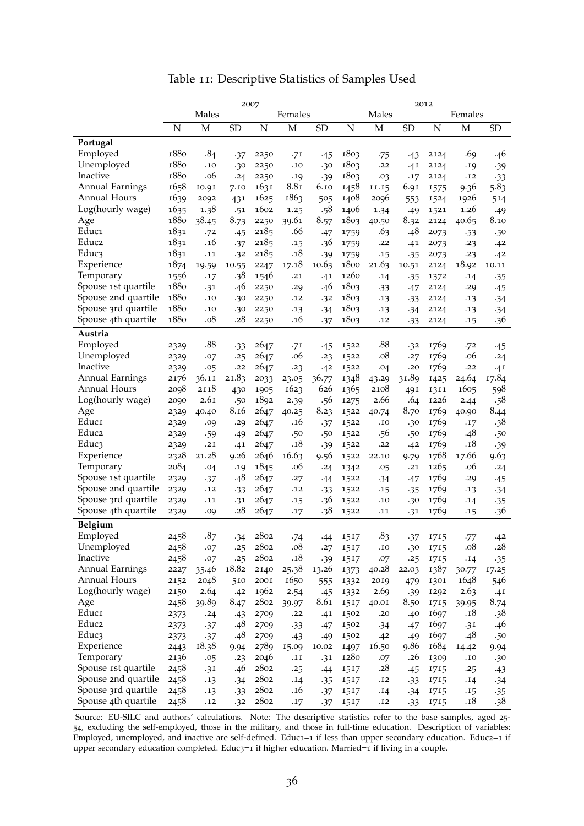|                          | 2007             |       |           |      |             |                  |             | 2012            |           |             |             |           |  |  |
|--------------------------|------------------|-------|-----------|------|-------------|------------------|-------------|-----------------|-----------|-------------|-------------|-----------|--|--|
|                          | Males<br>Females |       |           |      |             | Males<br>Females |             |                 |           |             |             |           |  |  |
|                          | N                | M     | <b>SD</b> | N    | $\mathbf M$ | <b>SD</b>        | $\mathbf N$ | M               | <b>SD</b> | $\mathbf N$ | $\mathbf M$ | <b>SD</b> |  |  |
|                          |                  |       |           |      |             |                  |             |                 |           |             |             |           |  |  |
| Portugal                 |                  |       |           |      |             |                  |             |                 |           |             |             |           |  |  |
| Employed                 | 1880<br>1880     | .84   | .37       | 2250 | .71         | .45              | 1803        | .75             | $-43$     | 2124        | .69         | .46       |  |  |
| Unemployed<br>Inactive   | 1880             | .10   | .30       | 2250 | .10         | .30              | 1803        | .22             | .41       | 2124        | .19         | .39       |  |  |
|                          |                  | .06   | .24       | 2250 | .19         | .39              | 1803        | .03             | .17       | 2124        | .12         | $-33$     |  |  |
| Annual Earnings          | 1658             | 10.91 | 7.10      | 1631 | 8.81        | 6.10             | 1458        | 11.15           | 6.91      | 1575        | 9.36        | 5.83      |  |  |
| Annual Hours             | 1639             | 2092  | 431       | 1625 | 1863        | 505              | 1408        | 2096            | 553       | 1524        | 1926        | 514       |  |  |
| Log(hourly wage)         | 1635             | 1.38  | .51       | 1602 | 1.25        | .58              | 1406        | 1.34            | .49       | 1521        | 1.26        | .49       |  |  |
| Age<br>Educ <sub>1</sub> | 1880             | 38.45 | 8.73      | 2250 | 39.61       | 8.57             | 1803        | 40.50           | 8.32      | 2124        | 40.65       | 8.10      |  |  |
|                          | 1831             | .72   | .45       | 2185 | .66         | .47              | 1759        | .63             | .48       | 2073        | $-53$       | .50       |  |  |
| Educ <sub>2</sub>        | 1831             | .16   | .37       | 2185 | .15         | .36              | 1759        | .22             | .41       | 2073        | .23         | .42       |  |  |
| Educ3                    | 1831             | .11   | .32       | 2185 | .18         | .39              | 1759        | .15             | $-35$     | 2073        | .23         | .42       |  |  |
| Experience               | 1874             | 19.59 | 10.55     | 2247 | 17.18       | 10.63            | 1800        | 21.63           | 10.51     | 2124        | 18.92       | 10.11     |  |  |
| Temporary                | 1556             | .17   | .38       | 1546 | .21         | .41              | 1260        | .14             | $-35$     | 1372        | .14         | $-35$     |  |  |
| Spouse 1st quartile      | 1880             | .31   | .46       | 2250 | .29         | .46              | 1803        | $-33$           | .47       | 2124        | .29         | .45       |  |  |
| Spouse 2nd quartile      | 1880             | .10   | .30       | 2250 | .12         | .32              | 1803        | .13             | $-33$     | 2124        | .13         | .34       |  |  |
| Spouse 3rd quartile      | 1880             | .10   | .30       | 2250 | .13         | $-34$            | 1803        | .13             | .34       | 2124        | .13         | .34       |  |  |
| Spouse 4th quartile      | 1880             | .08   | .28       | 2250 | .16         | .37              | 1803        | .12             | $-33$     | 2124        | .15         | .36       |  |  |
| Austria                  |                  |       |           |      |             |                  |             |                 |           |             |             |           |  |  |
| Employed                 | 2329             | .88   | $-33$     | 2647 | .71         | .45              | 1522        | .88             | .32       | 1769        | .72         | .45       |  |  |
| Unemployed               | 2329             | .07   | .25       | 2647 | .06         | .23              | 1522        | .08             | .27       | 1769        | .06         | .24       |  |  |
| Inactive                 | 2329             | .05   | .22       | 2647 | .23         | .42              | 1522        | .04             | .20       | 1769        | .22         | .41       |  |  |
| Annual Earnings          | 2176             | 36.11 | 21.83     | 2033 | 23.05       | 36.77            | 1348        | 43.29           | 31.89     | 1425        | 24.64       | 17.84     |  |  |
| <b>Annual Hours</b>      | 2098             | 2118  | 430       | 1905 | 1623        | 626              | 1365        | 2108            | 491       | 1311        | 1605        | 598       |  |  |
| Log(hourly wage)         | 2090             | 2.61  | .50       | 1892 | 2.39        | .56              | 1275        | 2.66            | .64       | 1226        | 2.44        | .58       |  |  |
| Age                      | 2329             | 40.40 | 8.16      | 2647 | 40.25       | 8.23             | 1522        | 40.74           | 8.70      | 1769        | 40.90       | 8.44      |  |  |
| Educ <sub>1</sub>        | 2329             | .09   | .29       | 2647 | .16         | $-37$            | 1522        | .10             | .30       | 1769        | .17         | .38       |  |  |
| Educ <sub>2</sub>        | 2329             | .59   | .49       | 2647 | .50         | .50              | 1522        | .56             | .50       | 1769        | .48         | .50       |  |  |
| Educ3                    | 2329             | .21   | .41       | 2647 | .18         | .39              | 1522        | .22             | .42       | 1769        | .18         | .39       |  |  |
| Experience               | 2328             | 21.28 | 9.26      | 2646 | 16.63       | 9.56             | 1522        | 22.10           | 9.79      | 1768        | 17.66       | 9.63      |  |  |
| Temporary                | 2084             | .04   | .19       | 1845 | .06         | .24              | 1342        | .05             | .21       | 1265        | .06         | .24       |  |  |
| Spouse 1st quartile      | 2329             | .37   | .48       | 2647 | .27         | -44              | 1522        | .34             | .47       | 1769        | .29         | .45       |  |  |
| Spouse 2nd quartile      | 2329             | .12   | $-33$     | 2647 | .12         | $-33$            | 1522        | .15             | $-35$     | 1769        | .13         | .34       |  |  |
| Spouse 3rd quartile      | 2329             | .11   | .31       | 2647 | .15         | .36              | 1522        | .10             | .30       | 1769        | .14         | $-35$     |  |  |
| Spouse 4th quartile      | 2329             | .09   | .28       | 2647 | .17         | .38              | 1522        | .11             | .31       | 1769        | .15         | .36       |  |  |
| Belgium                  |                  |       |           |      |             |                  |             |                 |           |             |             |           |  |  |
| Employed                 | 2458             | .87   | $-34$     | 2802 | .74         | .44              | 1517        | .8 <sub>3</sub> | .37       | 1715        | .77         | .42       |  |  |
| Unemployed               | 2458             | .07   | .25       | 2802 | .08         | .27              | 1517        | .10             | .30       | 1715        | .08         | .28       |  |  |
| Inactive                 | 2458             | .07   | .25       | 2802 | .18         | .39              | 1517        | .07             | .25       | 1715        | .14         | $-35$     |  |  |
| Annual Earnings          | 2227             | 35.46 | 18.82     | 2140 | 25.38       | 13.26            | 1373        | 40.28           | 22.03     | 1387        | 30.77       | 17.25     |  |  |
| Annual Hours             | 2152             | 2048  | 510       | 2001 | 1650        | 555              | 1332        | 2019            | 479       | 1301        | 1648        | 546       |  |  |
| Log(hourly wage)         | 2150             | 2.64  | .42       | 1962 | 2.54        | $-45$            | 1332        | 2.69            | .39       | 1292        | 2.63        | .41       |  |  |
| Age                      | 2458             | 39.89 | 8.47      | 2802 | 39.97       | 8.61             | 1517        | 40.01           | 8.50      | 1715        | 39.95       | 8.74      |  |  |
| Educ1                    | 2373             | .24   | $-43$     | 2709 | .22         | .41              | 1502        | .20             | .40       | 1697        | .18         | .38       |  |  |
| Educ <sub>2</sub>        | 2373             | $-37$ | .48       | 2709 | $-33$       | $-47$            | 1502        | $-34$           | .47       | 1697        | .31         | .46       |  |  |
| Educ3                    | 2373             | $-37$ | .48       | 2709 | $-43$       | $-49$            | 1502        | .42             | .49       | 1697        | .48         | .50       |  |  |
| Experience               | 2443             | 18.38 | 9.94      | 2789 | 15.09       | 10.02            | 1497        | 16.50           | 9.86      | 1684        | 14.42       | 9.94      |  |  |
| Temporary                | 2136             | .05   | .23       | 2046 | .11         | .31              | 1280        | .07             | .26       | 1309        | .10         | .30       |  |  |
| Spouse 1st quartile      | 2458             | .31   | .46       | 2802 | .25         | .44              | 1517        | .28             | $-45$     | 1715        | .25         | $-43$     |  |  |
| Spouse 2nd quartile      | 2458             | .13   | .34       | 2802 | .14         | $-35$            | 1517        | .12             | $-33$     | 1715        | .14         | .34       |  |  |
| Spouse 3rd quartile      | 2458             | .13   | $-33$     | 2802 | .16         | $-37$            | 1517        | .14             | $-34$     | 1715        | .15         | $-35$     |  |  |
| Spouse 4th quartile      | 2458             | .12   | .32       | 2802 | .17         | $-37$            | 1517        | .12             | $-33$     | 1715        | .18         | .38       |  |  |

Table 11: Descriptive Statistics of Samples Used

Source: EU-SILC and authors' calculations. Note: The descriptive statistics refer to the base samples, aged 25- 54, excluding the self-employed, those in the military, and those in full-time education. Description of variables: Employed, unemployed, and inactive are self-defined. Educ1=1 if less than upper secondary education. Educ2=1 if upper secondary education completed. Educ3=1 if higher education. Married=1 if living in a couple.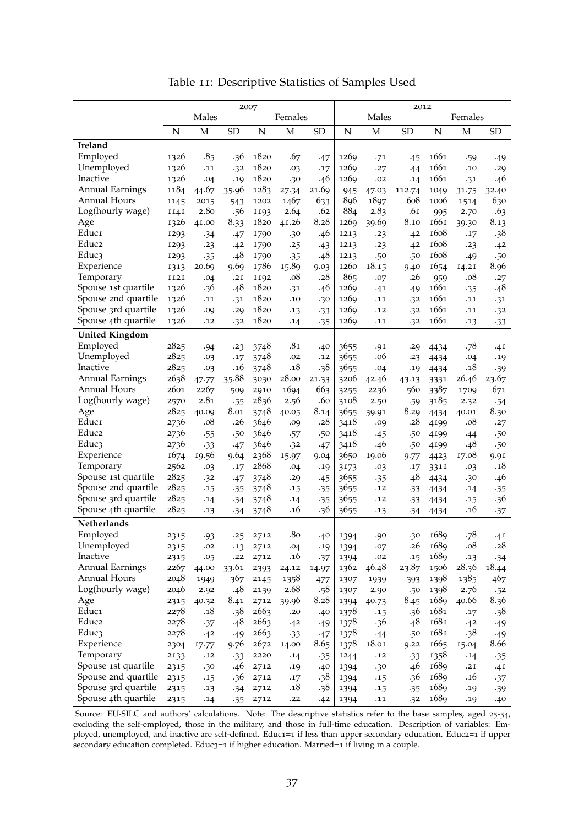|                        | 2007             |                 |           |      |              |           |                  | 2012  |        |      |              |                |  |  |
|------------------------|------------------|-----------------|-----------|------|--------------|-----------|------------------|-------|--------|------|--------------|----------------|--|--|
|                        | Males<br>Females |                 |           |      |              |           | Males<br>Females |       |        |      |              |                |  |  |
|                        | N                | M               | <b>SD</b> | N    | M            | <b>SD</b> | N                | M     | SD     | N    | $\mathbf M$  | <b>SD</b>      |  |  |
|                        |                  |                 |           |      |              |           |                  |       |        |      |              |                |  |  |
| Ireland                |                  |                 |           |      |              |           |                  |       |        |      |              |                |  |  |
| Employed               | 1326             | .8 <sub>5</sub> | .36       | 1820 | .67          | .47       | 1269             | .71   | .45    | 1661 | .59          | .49            |  |  |
| Unemployed             | 1326             | .11             | .32       | 1820 | .03          | .17       | 1269             | .27   | .44    | 1661 | .10          | .29            |  |  |
| Inactive               | 1326             | .04             | .19       | 1820 | .30          | .46       | 1269             | .02   | .14    | 1661 | .31          | .46            |  |  |
| <b>Annual Earnings</b> | 1184             | 44.67           | 35.96     | 1283 | 27.34        | 21.69     | 945              | 47.03 | 112.74 | 1049 | 31.75        | 32.40          |  |  |
| <b>Annual Hours</b>    | 1145             | 2015            | 543       | 1202 | 1467         | 633       | 896              | 1897  | 608    | 1006 | 1514         | 630            |  |  |
| Log(hourly wage)       | 1141             | 2.80            | .56       | 1193 | 2.64         | .62       | 884              | 2.83  | .61    | 995  | 2.70         | .63            |  |  |
| Age                    | 1326             | 41.00           | 8.33      | 1820 | 41.26        | 8.28      | 1269             | 39.69 | 8.10   | 1661 | 39.30        | 8.13           |  |  |
| Educ <sub>1</sub>      | 1293             | $-34$           | .47       | 1790 | .30          | .46       | 1213             | .23   | .42    | 1608 | .17          | .38            |  |  |
| Educ <sub>2</sub>      | 1293             | .23             | .42       | 1790 | .25          | $-43$     | 1213             | .23   | .42    | 1608 | .23          | .42            |  |  |
| Educ3                  | 1293             | .35             | .48       | 1790 | .35          | .48       | 1213             | .50   | .50    | 1608 | .49          | .50            |  |  |
| Experience             | 1313             | 20.69           | 9.69      | 1786 | 15.89        | 9.03      | 1260             | 18.15 | 9.40   | 1654 | 14.21        | 8.96           |  |  |
| Temporary              | 1121             | .04             | .21       | 1192 | .08          | .28       | 865              | .07   | .26    | 959  | .08          | .27            |  |  |
| Spouse 1st quartile    | 1326             | .36             | .48       | 1820 | .31          | .46       | 1269             | .41   | .49    | 1661 | .35          | .48            |  |  |
| Spouse 2nd quartile    | 1326             | .11             | .31       | 1820 | .10          | .30       | 1269             | .11   | .32    | 1661 | .11          | .31            |  |  |
| Spouse 3rd quartile    | 1326             | .09             | .29       | 1820 | .13          | $-33$     | 1269             | .12   | .32    | 1661 | .11          | .32            |  |  |
| Spouse 4th quartile    | 1326             | .12             | .32       | 1820 | .14          | .35       | 1269             | .11   | .32    | 1661 | .13          | $-33$          |  |  |
| <b>United Kingdom</b>  |                  |                 |           |      |              |           |                  |       |        |      |              |                |  |  |
| Employed               | 2825             | .94             | .23       | 3748 | .81          | .40       | 3655             | .91   | .29    | 4434 | .78          | .41            |  |  |
| Unemployed             | 2825             | .03             | .17       | 3748 | .02          | .12       | 3655             | .06   | .23    | 4434 | .04          | .19            |  |  |
| Inactive               | 2825             | .03             | .16       | 3748 | .18          | .38       | 3655             | .04   | .19    | 4434 | .18          | .39            |  |  |
| <b>Annual Earnings</b> | 2638             | 47.77           | 35.88     | 3030 | 28.00        | 21.33     | 3206             | 42.46 | 43.13  | 3331 | 26.46        | 23.67          |  |  |
| <b>Annual Hours</b>    | 2601             | 2267            | 509       | 2910 | 1694         | 663       | 3255             | 2236  | 560    | 3387 | 1709         | 671            |  |  |
| Log(hourly wage)       | 2570             | 2.81            | .55       | 2836 | 2.56         | .60       | 3108             | 2.50  | .59    | 3185 | 2.32         | .54            |  |  |
| Age                    | 2825             | 40.09           | 8.01      | 3748 | 40.05        | 8.14      | 3655             | 39.91 | 8.29   | 4434 | 40.01        | 8.30           |  |  |
| Educ <sub>1</sub>      | 2736             | .08             | .26       | 3646 | .09          | .28       | 3418             | .09   | .28    | 4199 | .08          | .27            |  |  |
| Educ <sub>2</sub>      | 2736             | .55             | .50       | 3646 | .57          | .50       | 3418             | $-45$ | .50    | 4199 | -44          | .50            |  |  |
| Educ3                  | 2736             | $-33$           | .47       | 3646 | .32          | -47       | 3418             | .46   | .50    | 4199 | .48          | .50            |  |  |
| Experience             | 1674             | 19.56           | 9.64      | 2368 | 15.97        | 9.04      | 3650             | 19.06 | 9.77   | 4423 | 17.08        | 9.91           |  |  |
| Temporary              | 2562             | .03             | .17       | 2868 | .04          | .19       | 3173             | .03   | .17    | 3311 | .03          | .18            |  |  |
| Spouse 1st quartile    | 2825             | .32             | .47       | 3748 | .29          | $-45$     | 3655             | $-35$ | .48    | 4434 | .30          | .46            |  |  |
| Spouse 2nd quartile    | 2825             | .15             | $-35$     | 3748 | .15          | .35       | 3655             | .12   | $-33$  | 4434 | .14          | $-35$          |  |  |
| Spouse 3rd quartile    | 2825             | .14             | .34       | 3748 | .14          | .35       | 3655             | .12   | $-33$  | 4434 | .15          | .36            |  |  |
| Spouse 4th quartile    | 2825             | .13             | .34       | 3748 | .16          | .36       | 3655             | .13   | .34    | 4434 | .16          | $-37$          |  |  |
| Netherlands            |                  |                 |           |      |              |           |                  |       |        |      |              |                |  |  |
| Employed               | 2315             |                 | .25       | 2712 | .80          |           |                  | .90   | .30    | 1689 | .78          |                |  |  |
| Unemployed             | 2315             | .93<br>.02      | .13       |      |              | .40       | 1394             | .07   | .26    | 1689 | .08          | .41<br>.28     |  |  |
| Inactive               | 2315             |                 | .22       | 2712 | .04<br>.16   | .19       | 1394             | .02   | .15    | 1689 |              |                |  |  |
| <b>Annual Earnings</b> | 2267             | .05<br>44.00    | 33.61     | 2712 |              | .37       | 1394<br>1362     | 46.48 | 23.87  | 1506 | .13<br>28.36 | $-34$<br>18.44 |  |  |
| <b>Annual Hours</b>    |                  |                 |           | 2393 | 24.12        | 14.97     |                  |       |        |      | 1385         |                |  |  |
| Log(hourly wage)       | 2048             | 1949            | 367       | 2145 | 1358<br>2.68 | 477       | 1307             | 1939  | 393    | 1398 |              | 467            |  |  |
|                        | 2046             | 2.92            | .48       | 2139 |              | .58       | 1307             | 2.90  | .50    | 1398 | 2.76         | .52            |  |  |
| Age                    | 2315             | 40.32           | 8.41      | 2712 | 39.96        | 8.28      | 1394             | 40.73 | 8.45   | 1689 | 40.66        | 8.36           |  |  |
| Educ1                  | 2278             | .18             | .38       | 2663 | .20          | .40       | 1378             | .15   | .36    | 1681 | .17          | .38            |  |  |
| Educ2                  | 2278             | .37             | .48       | 2663 | .42          | .49       | 1378             | .36   | .48    | 1681 | .42          | .49            |  |  |
| Educ3                  | 2278             | .42             | .49       | 2663 | $-33$        | .47       | 1378             | .44   | .50    | 1681 | .38          | .49            |  |  |
| Experience             | 2304             | 17.77           | 9.76      | 2672 | 14.00        | 8.65      | 1378             | 18.01 | 9.22   | 1665 | 15.04        | 8.66           |  |  |
| Temporary              | 2133             | .12             | $-33$     | 2220 | .14          | $-35$     | 1244             | .12   | $-33$  | 1358 | .14          | $-35$          |  |  |
| Spouse 1st quartile    | 2315             | .30             | .46       | 2712 | .19          | .40       | 1394             | .30   | .46    | 1689 | .21          | .41            |  |  |
| Spouse 2nd quartile    | 2315             | .15             | .36       | 2712 | .17          | .38       | 1394             | .15   | .36    | 1689 | .16          | $-37$          |  |  |
| Spouse 3rd quartile    | 2315             | .13             | .34       | 2712 | .18          | .38       | 1394             | .15   | $-35$  | 1689 | .19          | .39            |  |  |
| Spouse 4th quartile    | 2315             | .14             | .35       | 2712 | .22          | .42       | 1394             | .11   | .32    | 1689 | .19          | .40            |  |  |

Table 11: Descriptive Statistics of Samples Used

Source: EU-SILC and authors' calculations. Note: The descriptive statistics refer to the base samples, aged 25-54, excluding the self-employed, those in the military, and those in full-time education. Description of variables: Employed, unemployed, and inactive are self-defined. Educ1=1 if less than upper secondary education. Educ2=1 if upper secondary education completed. Educ3=1 if higher education. Married=1 if living in a couple.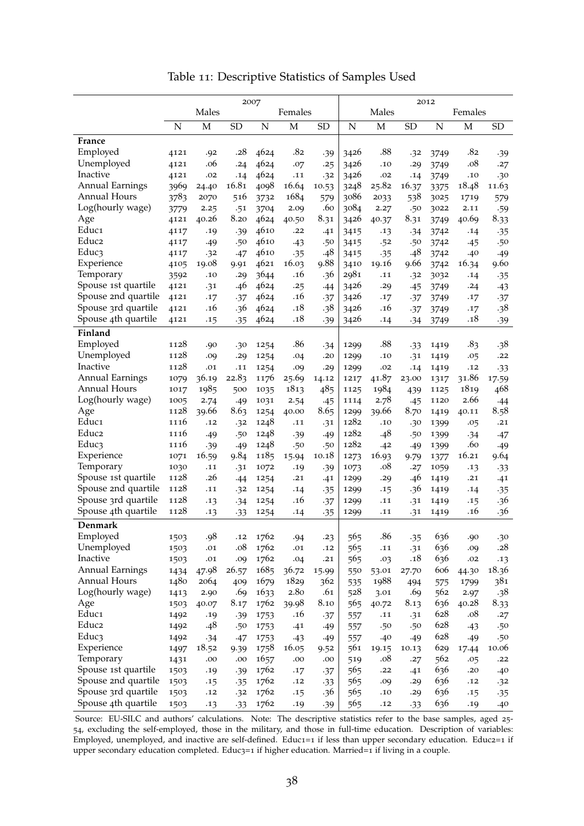|                        | 2007        |                  |           |      |       |           |                         | 2012        |           |      |                 |            |  |  |
|------------------------|-------------|------------------|-----------|------|-------|-----------|-------------------------|-------------|-----------|------|-----------------|------------|--|--|
|                        |             | Males<br>Females |           |      |       |           | Males<br>Females        |             |           |      |                 |            |  |  |
|                        | $\mathbf N$ | M                | <b>SD</b> | N    | M     | <b>SD</b> | $\overline{\mathbf{N}}$ | $\mathbf M$ | <b>SD</b> | N    | M               | <b>SD</b>  |  |  |
| France                 |             |                  |           |      |       |           |                         |             |           |      |                 |            |  |  |
| Employed               | 4121        | .92              | .28       | 4624 | .82   | .39       | 3426                    | .88         | .32       | 3749 | .82             |            |  |  |
| Unemployed             | 4121        | .06              | .24       | 4624 | .07   | .25       | 3426                    | .10         | .29       | 3749 | .08             | .39<br>.27 |  |  |
| Inactive               | 4121        | .02              | .14       | 4624 | .11   | .32       | 3426                    | .02         | .14       | 3749 | .10             | .30        |  |  |
| <b>Annual Earnings</b> | 3969        | 24.40            | 16.81     | 4098 | 16.64 | 10.53     | 3248                    | 25.82       | 16.37     | 3375 | 18.48           | 11.63      |  |  |
| <b>Annual Hours</b>    | 3783        | 2070             | 516       | 3732 | 1684  | 579       | 3086                    | 2033        | 538       | 3025 | 1719            | 579        |  |  |
| Log(hourly wage)       | 3779        | 2.25             | .51       | 3704 | 2.09  | .60       | 3084                    | 2.27        | .50       | 3022 | 2.11            | .59        |  |  |
| Age                    | 4121        | 40.26            | 8.20      | 4624 | 40.50 | 8.31      | 3426                    | 40.37       | 8.31      | 3749 | 40.69           | 8.33       |  |  |
| Educ1                  | 4117        | .19              | .39       | 4610 | .22   | .41       | 3415                    | .13         | -34       | 3742 | .14             | .35        |  |  |
| Educ <sub>2</sub>      | 4117        | .49              | .50       | 4610 | $-43$ | .50       | 3415                    | .52         | .50       | 3742 | .45             | .50        |  |  |
| Educ3                  | 4117        | .32              | .47       | 4610 | $-35$ | .48       | 3415                    | $-35$       | .48       | 3742 | .40             | .49        |  |  |
| Experience             | 4105        | 19.08            | 9.91      | 4621 | 16.03 | 9.88      | 3410                    | 19.16       | 9.66      | 3742 | 16.34           | 9.60       |  |  |
| Temporary              | 3592        | .10              | .29       | 3644 | .16   | .36       | 2981                    | .11         | .32       | 3032 | .14             | .35        |  |  |
| Spouse 1st quartile    | 4121        | .31              | .46       | 4624 | .25   | -44       | 3426                    | .29         | $-45$     | 3749 | .24             | $-43$      |  |  |
| Spouse 2nd quartile    | 4121        | .17              | .37       | 4624 | .16   | $-37$     | 3426                    | .17         | .37       | 3749 | .17             | .37        |  |  |
| Spouse 3rd quartile    | 4121        | .16              | .36       | 4624 | .18   | .38       | 3426                    | .16         | $-37$     | 3749 | .17             | .38        |  |  |
| Spouse 4th quartile    | 4121        | .15              | $-35$     | 4624 | .18   | .39       | 3426                    | .14         | .34       | 3749 | .18             | .39        |  |  |
|                        |             |                  |           |      |       |           |                         |             |           |      |                 |            |  |  |
| Finland<br>Employed    | 1128        | .90              | .30       | 1254 | .86   | .34       | 1299                    | .88         | $-33$     | 1419 | .8 <sub>3</sub> | .38        |  |  |
| Unemployed             | 1128        | .09              | .29       | 1254 | .04   | .20       | 1299                    | .10         | .31       | 1419 | .05             | .22        |  |  |
| Inactive               | 1128        | .01              | .11       | 1254 | .09   | .29       | 1299                    | .02         | .14       | 1419 | .12             | $-33$      |  |  |
| <b>Annual Earnings</b> | 1079        | 36.19            | 22.83     | 1176 | 25.69 | 14.12     | 1217                    | 41.87       | 23.00     | 1317 | 31.86           | 17.59      |  |  |
| <b>Annual Hours</b>    | 1017        | 1985             | 500       | 1035 | 1813  | 485       | 1125                    | 1984        | 439       | 1125 | 1819            | 468        |  |  |
| Log(hourly wage)       | 1005        | 2.74             | .49       | 1031 | 2.54  | .45       | 1114                    | 2.78        | $-45$     | 1120 | 2.66            | .44        |  |  |
| Age                    | 1128        | 39.66            | 8.63      | 1254 | 40.00 | 8.65      | 1299                    | 39.66       | 8.70      | 1419 | 40.11           | 8.58       |  |  |
| Educ1                  | 1116        | .12              | .32       | 1248 | .11   | .31       | 1282                    | .10         | .30       | 1399 | .05             | .21        |  |  |
| Educ2                  | 1116        | .49              | .50       | 1248 | .39   | .49       | 1282                    | .48         | .50       | 1399 | .34             | .47        |  |  |
| Educ3                  | 1116        | .39              | .49       | 1248 | .50   | .50       | 1282                    | .42         | .49       | 1399 | .60             | .49        |  |  |
| Experience             | 1071        | 16.59            | 9.84      | 1185 | 15.94 | 10.18     | 1273                    | 16.93       | 9.79      | 1377 | 16.21           | 9.64       |  |  |
| Temporary              | 1030        | .11              | .31       | 1072 | .19   | .39       | 1073                    | .08         | .27       | 1059 | .13             | $-33$      |  |  |
| Spouse 1st quartile    | 1128        | .26              | .44       | 1254 | .21   | .41       | 1299                    | .29         | .46       | 1419 | .21             | .41        |  |  |
| Spouse 2nd quartile    | 1128        | .11              | .32       | 1254 | .14   | .35       | 1299                    | .15         | .36       | 1419 | .14             | $-35$      |  |  |
| Spouse 3rd quartile    | 1128        | .13              | .34       | 1254 | .16   | .37       | 1299                    | .11         | .31       | 1419 | .15             | .36        |  |  |
| Spouse 4th quartile    | 1128        | .13              | $-33$     | 1254 | .14   | .35       | 1299                    | .11         | .31       | 1419 | .16             | .36        |  |  |
| Denmark                |             |                  |           |      |       |           |                         |             |           |      |                 |            |  |  |
| Employed               | 1503        | .98              | .12       | 1762 | .94   | .23       | 565                     | .86         | .35       | 636  | .90             | .30        |  |  |
| Unemployed             | 1503        | .01              | .08       | 1762 | .01   | .12       | 565                     | .11         | .31       | 636  | .09             | .28        |  |  |
| Inactive               | 1503        | .01              | .09       | 1762 | .04   | .21       | 565                     | .03         | .18       | 636  | .02             | .13        |  |  |
| <b>Annual Earnings</b> | 1434        | 47.98            | 26.57     | 1685 | 36.72 | 15.99     | 550                     | 53.01       | 27.70     | 606  | 44.30           | 18.36      |  |  |
| <b>Annual Hours</b>    | 1480        | 2064             | 409       | 1679 | 1829  | 362       | 535                     | 1988        | 494       | 575  | 1799            | 381        |  |  |
| Log(hourly wage)       | 1413        | 2.90             | .69       | 1633 | 2.80  | .61       | 528                     | 3.01        | .69       | 562  | 2.97            | .38        |  |  |
| Age                    | 1503        | 40.07            | 8.17      | 1762 | 39.98 | 8.10      | 565                     | 40.72       | 8.13      | 636  | 40.28           | 8.33       |  |  |
| Educ1                  | 1492        | .19              | .39       | 1753 | .16   | $-37$     | 557                     | .11         | .31       | 628  | .08             | .27        |  |  |
| Educ2                  | 1492        | .48              | .50       | 1753 | .41   | .49       | 557                     | .50         | .50       | 628  | $-43$           | .50        |  |  |
| Educ3                  | 1492        | .34              | .47       | 1753 | $-43$ | .49       | 557                     | .40         | .49       | 628  | .49             | .50        |  |  |
| Experience             | 1497        | 18.52            | 9.39      | 1758 | 16.05 | 9.52      | 561                     | 19.15       | 10.13     | 629  | 17.44           | 10.06      |  |  |
| Temporary              | 1431        | .00              | .00       | 1657 | .00   | .00       | 519                     | .08         | .27       | 562  | .05             | .22        |  |  |
| Spouse 1st quartile    | 1503        | .19              | .39       | 1762 | .17   | $-37$     | 565                     | .22         | .41       | 636  | .20             | .40        |  |  |
| Spouse 2nd quartile    | 1503        | .15              | .35       | 1762 | .12   | $-33$     | 565                     | .09         | .29       | 636  | .12             | .32        |  |  |
| Spouse 3rd quartile    | 1503        | .12              | .32       | 1762 | .15   | .36       | 565                     | .10         | .29       | 636  | .15             | .35        |  |  |
| Spouse 4th quartile    | 1503        | .13              | $-33$     | 1762 | .19   | .39       | 565                     | .12         | $-33$     | 636  | .19             | .40        |  |  |

Table 11: Descriptive Statistics of Samples Used

Source: EU-SILC and authors' calculations. Note: The descriptive statistics refer to the base samples, aged 25- 54, excluding the self-employed, those in the military, and those in full-time education. Description of variables: Employed, unemployed, and inactive are self-defined. Educ1=1 if less than upper secondary education. Educ2=1 if upper secondary education completed. Educ3=1 if higher education. Married=1 if living in a couple.